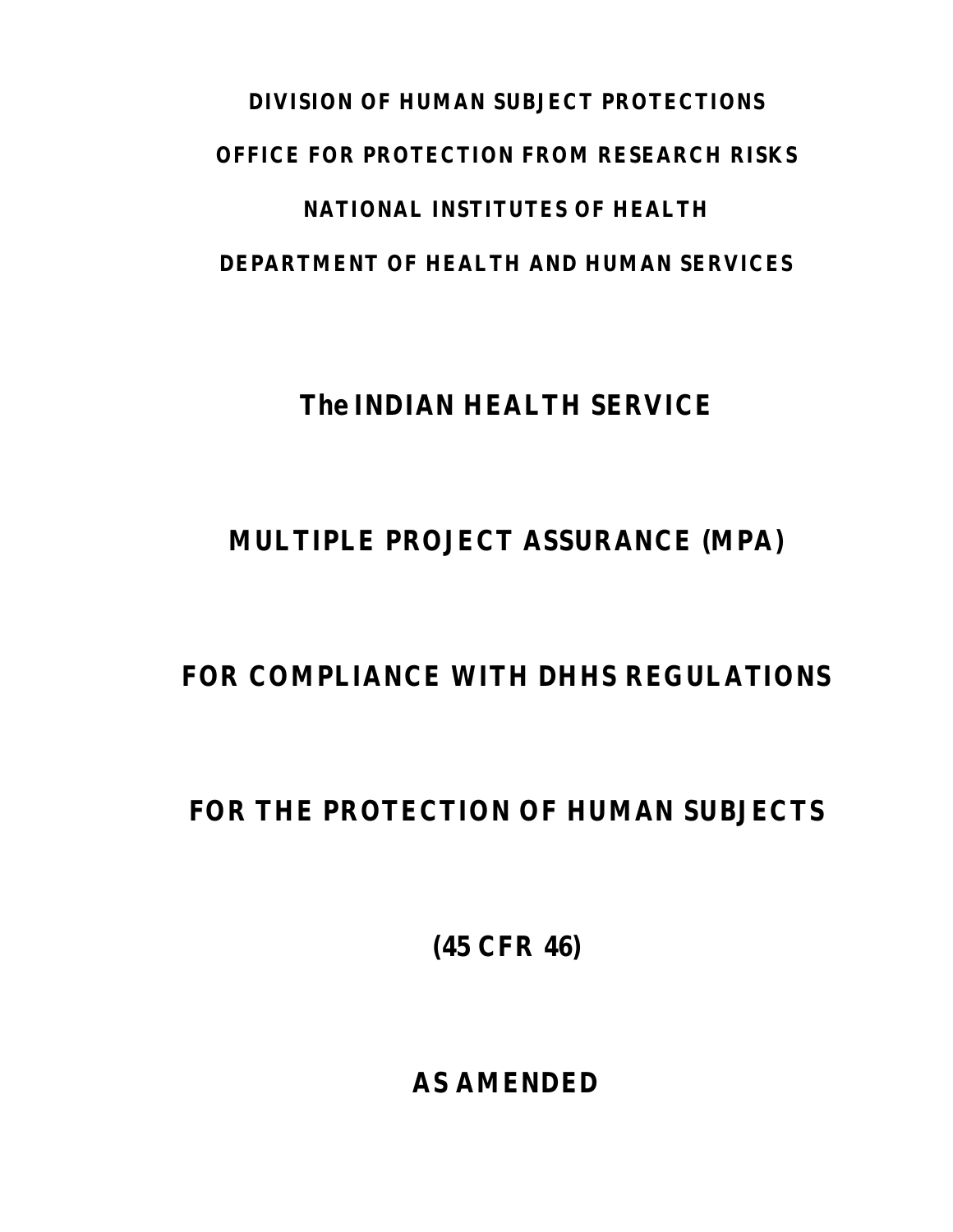# **DIVISION OF HUMAN SUBJECT PROTECTIONS OFFICE FOR PROTECTION FROM RESEARCH RISKS NATIONAL INSTITUTES OF HEALTH DEPARTMENT OF HEALTH AND HUMAN SERVICES**

## **The INDIAN HEALTH SERVICE**

## **MULTIPLE PROJECT ASSURANCE (MPA)**

## **FOR COMPLIANCE WITH DHHS REGULATIONS**

## **FOR THE PROTECTION OF HUMAN SUBJECTS**

**(45 CFR 46)**

**AS AMENDED**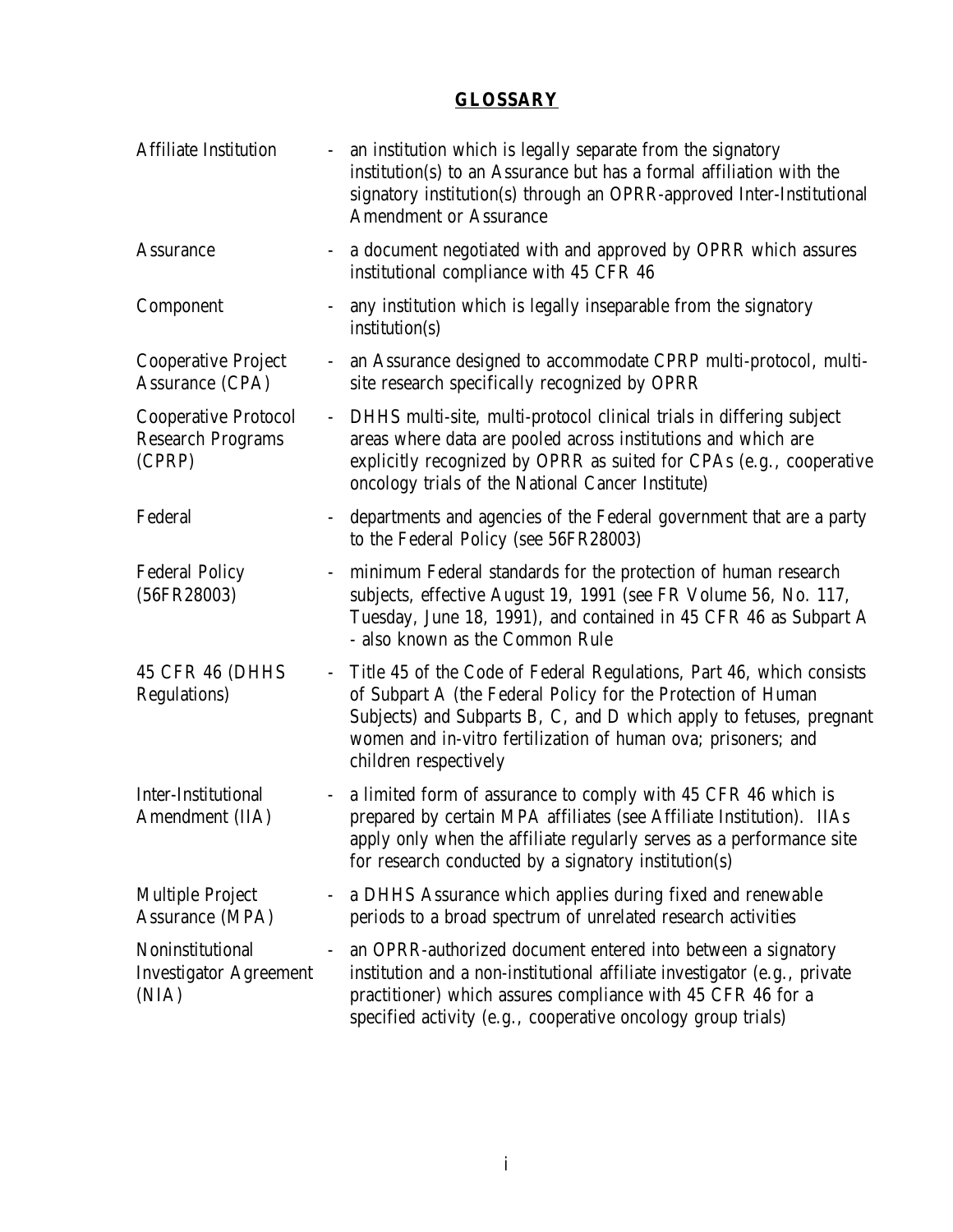#### **GLOSSARY**

<span id="page-1-0"></span>

| <b>Affiliate Institution</b>                                      | $\blacksquare$ | an institution which is legally separate from the signatory<br>institution(s) to an Assurance but has a formal affiliation with the<br>signatory institution(s) through an OPRR-approved Inter-Institutional<br><b>Amendment or Assurance</b>                                                         |
|-------------------------------------------------------------------|----------------|-------------------------------------------------------------------------------------------------------------------------------------------------------------------------------------------------------------------------------------------------------------------------------------------------------|
| <b>Assurance</b>                                                  |                | a document negotiated with and approved by OPRR which assures<br>institutional compliance with 45 CFR 46                                                                                                                                                                                              |
| Component                                                         |                | any institution which is legally inseparable from the signatory<br>institution(s)                                                                                                                                                                                                                     |
| <b>Cooperative Project</b><br>Assurance (CPA)                     | $\blacksquare$ | an Assurance designed to accommodate CPRP multi-protocol, multi-<br>site research specifically recognized by OPRR                                                                                                                                                                                     |
| <b>Cooperative Protocol</b><br><b>Research Programs</b><br>(CPRP) | $\equiv$       | DHHS multi-site, multi-protocol clinical trials in differing subject<br>areas where data are pooled across institutions and which are<br>explicitly recognized by OPRR as suited for CPAs (e.g., cooperative<br>oncology trials of the National Cancer Institute)                                     |
| Federal                                                           |                | departments and agencies of the Federal government that are a party<br>to the Federal Policy (see 56FR28003)                                                                                                                                                                                          |
| <b>Federal Policy</b><br>(56FR28003)                              | $\blacksquare$ | minimum Federal standards for the protection of human research<br>subjects, effective August 19, 1991 (see FR Volume 56, No. 117,<br>Tuesday, June 18, 1991), and contained in 45 CFR 46 as Subpart A<br>- also known as the Common Rule                                                              |
| 45 CFR 46 (DHHS<br><b>Regulations</b> )                           | $\equiv$       | Title 45 of the Code of Federal Regulations, Part 46, which consists<br>of Subpart A (the Federal Policy for the Protection of Human<br>Subjects) and Subparts B, C, and D which apply to fetuses, pregnant<br>women and in-vitro fertilization of human ova; prisoners; and<br>children respectively |
| Inter-Institutional<br>Amendment (IIA)                            | $\blacksquare$ | a limited form of assurance to comply with 45 CFR 46 which is<br>prepared by certain MPA affiliates (see Affiliate Institution). IIAs<br>apply only when the affiliate regularly serves as a performance site<br>for research conducted by a signatory institution(s)                                 |
| <b>Multiple Project</b><br><b>Assurance (MPA)</b>                 |                | a DHHS Assurance which applies during fixed and renewable<br>periods to a broad spectrum of unrelated research activities                                                                                                                                                                             |
| Noninstitutional<br><b>Investigator Agreement</b><br>(NIA)        |                | an OPRR-authorized document entered into between a signatory<br>institution and a non-institutional affiliate investigator (e.g., private<br>practitioner) which assures compliance with 45 CFR 46 for a<br>specified activity (e.g., cooperative oncology group trials)                              |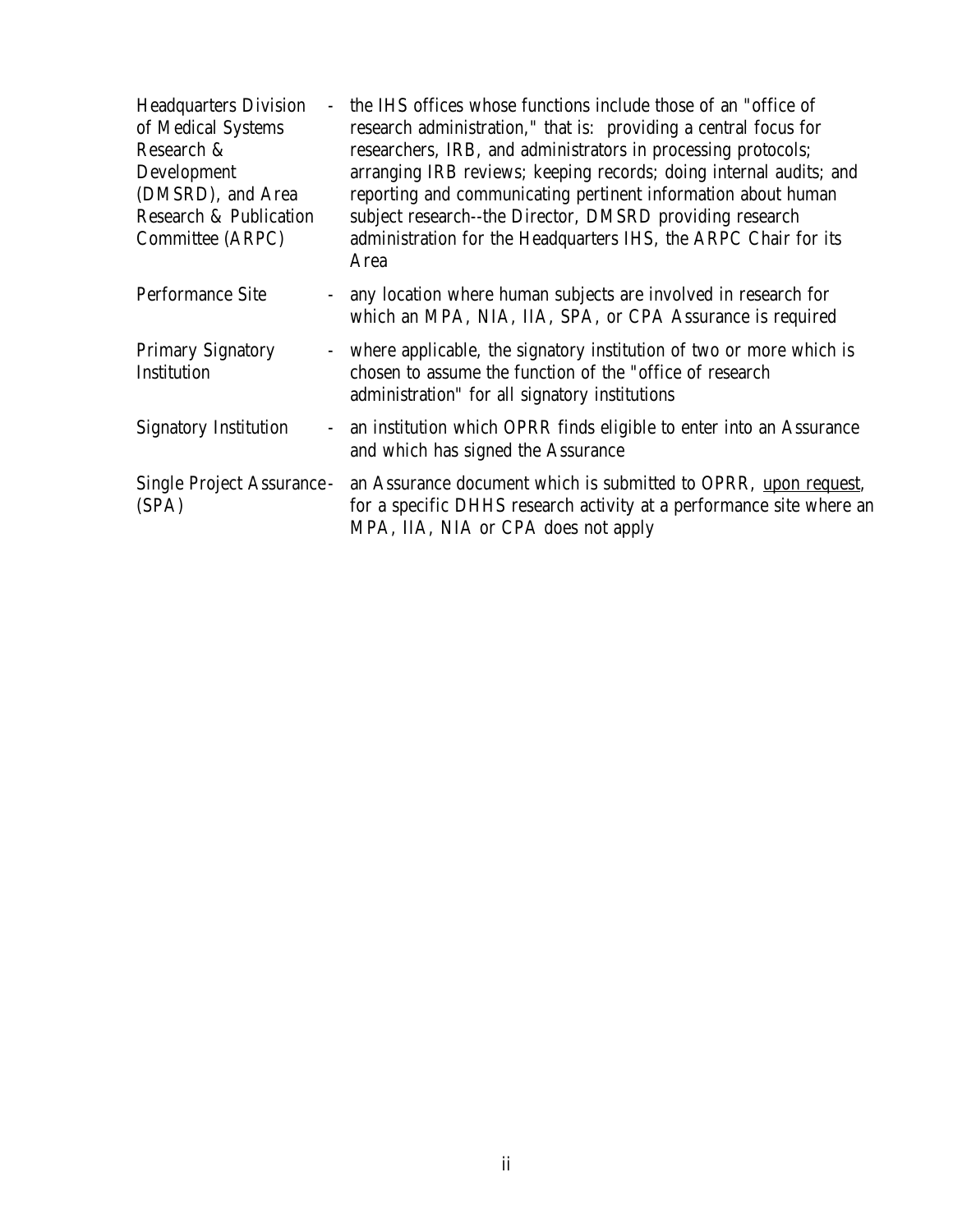| <b>Headquarters Division</b><br>of Medical Systems<br>Research &<br>Development<br>(DMSRD), and Area<br><b>Research &amp; Publication</b><br>Committee (ARPC) | $\overline{\phantom{0}}$ | the IHS offices whose functions include those of an "office of<br>research administration," that is: providing a central focus for<br>researchers, IRB, and administrators in processing protocols;<br>arranging IRB reviews; keeping records; doing internal audits; and<br>reporting and communicating pertinent information about human<br>subject research--the Director, DMSRD providing research<br>administration for the Headquarters IHS, the ARPC Chair for its<br>Area |
|---------------------------------------------------------------------------------------------------------------------------------------------------------------|--------------------------|-----------------------------------------------------------------------------------------------------------------------------------------------------------------------------------------------------------------------------------------------------------------------------------------------------------------------------------------------------------------------------------------------------------------------------------------------------------------------------------|
| <b>Performance Site</b>                                                                                                                                       |                          | - any location where human subjects are involved in research for<br>which an MPA, NIA, IIA, SPA, or CPA Assurance is required                                                                                                                                                                                                                                                                                                                                                     |
| <b>Primary Signatory</b><br>Institution                                                                                                                       |                          | - where applicable, the signatory institution of two or more which is<br>chosen to assume the function of the "office of research<br>administration" for all signatory institutions                                                                                                                                                                                                                                                                                               |
| <b>Signatory Institution</b>                                                                                                                                  |                          | - an institution which OPRR finds eligible to enter into an Assurance<br>and which has signed the Assurance                                                                                                                                                                                                                                                                                                                                                                       |
| <b>Single Project Assurance -</b><br>(SPA)                                                                                                                    |                          | an Assurance document which is submitted to OPRR, upon request,<br>for a specific DHHS research activity at a performance site where an<br>MPA, IIA, NIA or CPA does not apply                                                                                                                                                                                                                                                                                                    |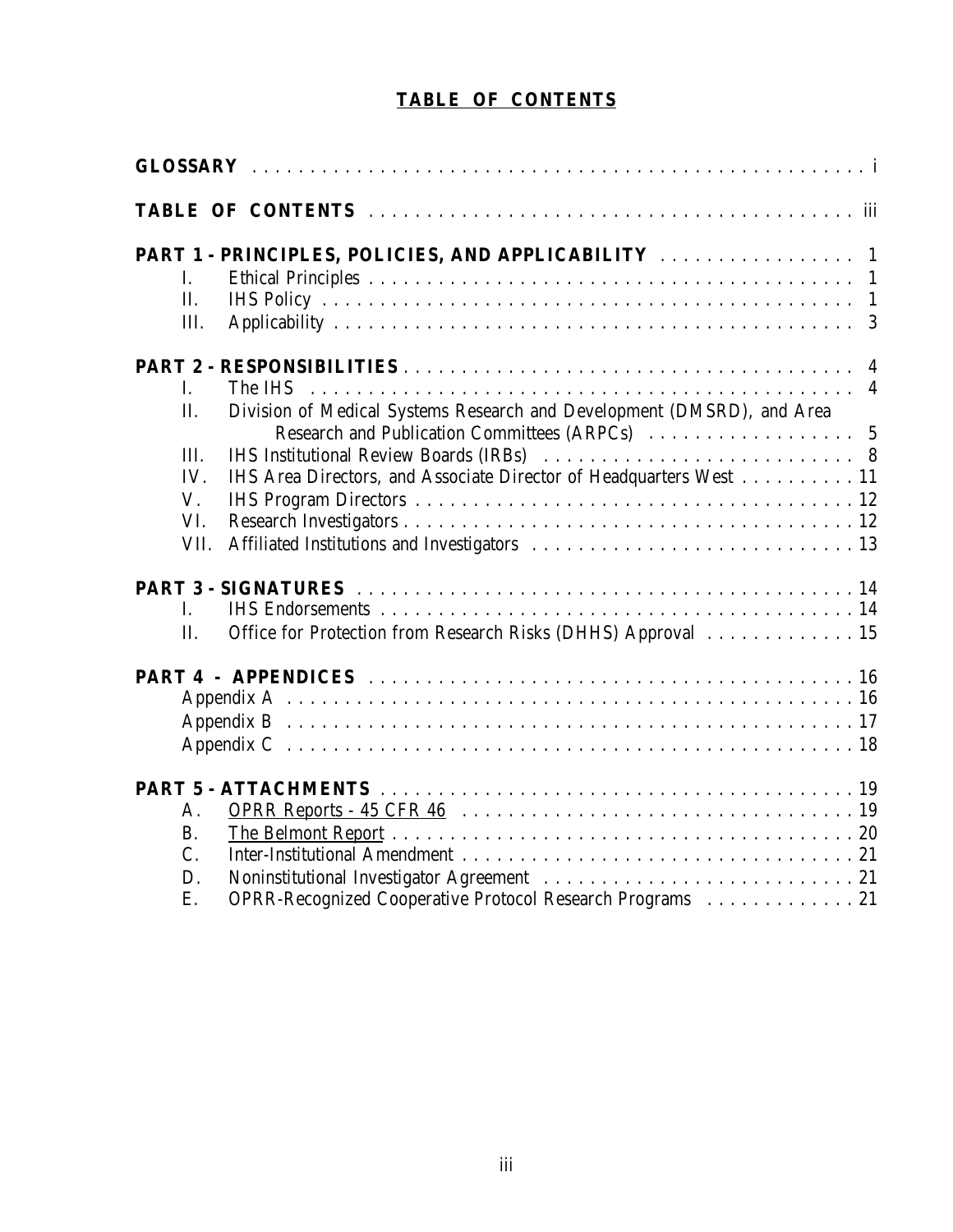### **TABLE OF CONTENTS**

| <b>TABLE OF CONTENTS</b>                                                      |  |  |  |
|-------------------------------------------------------------------------------|--|--|--|
|                                                                               |  |  |  |
|                                                                               |  |  |  |
|                                                                               |  |  |  |
| L.                                                                            |  |  |  |
| II.                                                                           |  |  |  |
| III.                                                                          |  |  |  |
|                                                                               |  |  |  |
| I.                                                                            |  |  |  |
| Division of Medical Systems Research and Development (DMSRD), and Area<br>II. |  |  |  |
| III.                                                                          |  |  |  |
| IHS Area Directors, and Associate Director of Headquarters West 11<br>IV.     |  |  |  |
| $V_{\cdot}$                                                                   |  |  |  |
| VI.                                                                           |  |  |  |
| VII.                                                                          |  |  |  |
|                                                                               |  |  |  |
| Ι.                                                                            |  |  |  |
| Office for Protection from Research Risks (DHHS) Approval 15<br>Π.            |  |  |  |
|                                                                               |  |  |  |
|                                                                               |  |  |  |
|                                                                               |  |  |  |
|                                                                               |  |  |  |
|                                                                               |  |  |  |
| Α.                                                                            |  |  |  |
| <b>B.</b>                                                                     |  |  |  |
| C.                                                                            |  |  |  |
| D.                                                                            |  |  |  |
| OPRR-Recognized Cooperative Protocol Research Programs  21<br>Ε.              |  |  |  |
|                                                                               |  |  |  |
|                                                                               |  |  |  |
|                                                                               |  |  |  |
|                                                                               |  |  |  |
|                                                                               |  |  |  |
|                                                                               |  |  |  |
|                                                                               |  |  |  |
|                                                                               |  |  |  |
|                                                                               |  |  |  |
|                                                                               |  |  |  |
| iii                                                                           |  |  |  |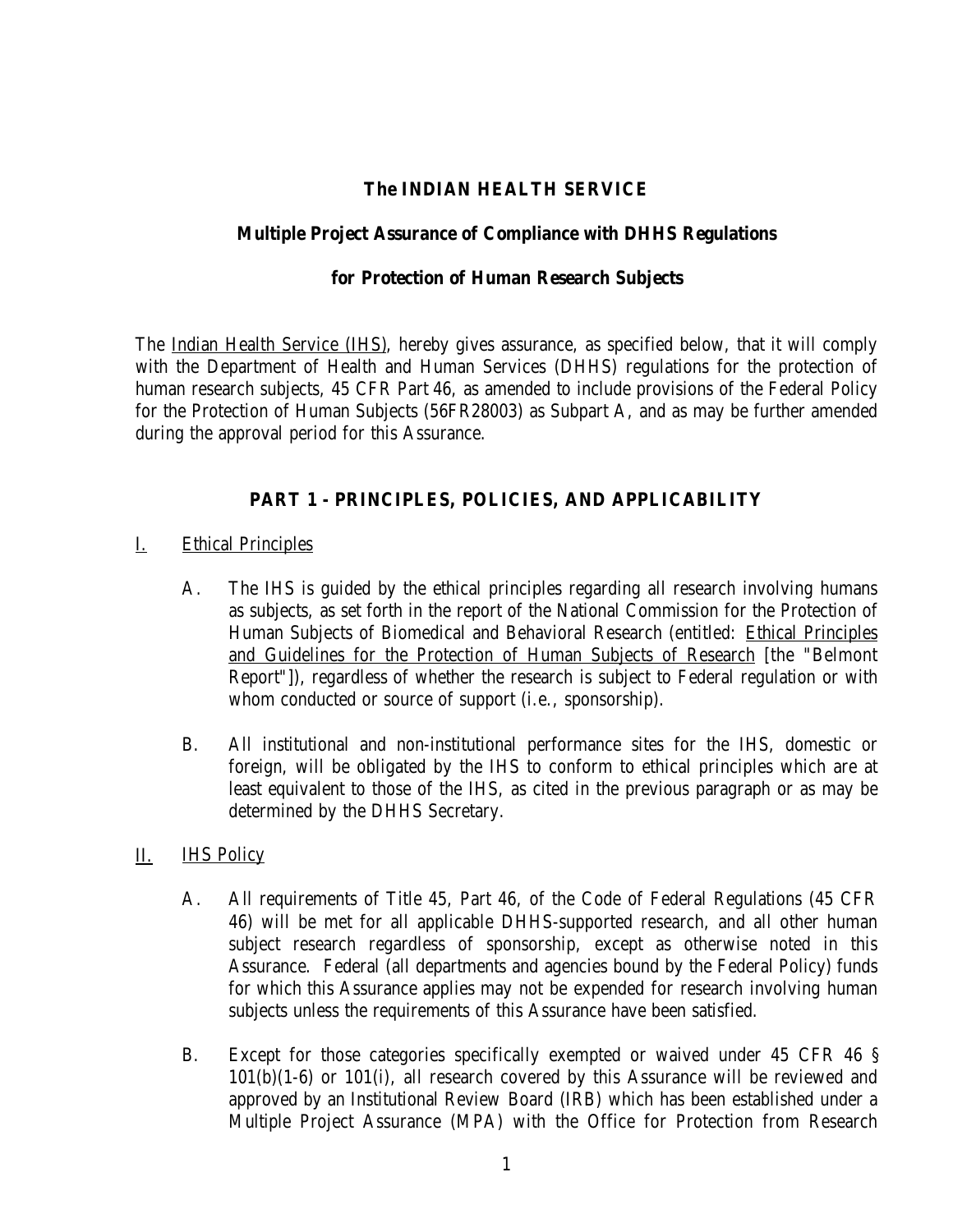#### **The INDIAN HEALTH SERVICE**

#### <span id="page-4-0"></span>**Multiple Project Assurance of Compliance with DHHS Regulations**

#### **for Protection of Human Research Subjects**

The Indian Health Service (IHS), hereby gives assurance, as specified below, that it will comply with the Department of Health and Human Services (DHHS) regulations for the protection of human research subjects, 45 CFR Part 46, as amended to include provisions of the Federal Policy for the Protection of Human Subjects (56FR28003) as Subpart A, and as may be further amended during the approval period for this Assurance.

#### **PART 1 - PRINCIPLES, POLICIES, AND APPLICABILITY**

- I. Ethical Principles
	- $A_{\cdot}$ The IHS is guided by the ethical principles regarding all research involving humans as subjects, as set forth in the report of the National Commission for the Protection of Human Subjects of Biomedical and Behavioral Research (entitled: Ethical Principles and Guidelines for the Protection of Human Subjects of Research [the "Belmont Report"]), regardless of whether the research is subject to Federal regulation or with whom conducted or source of support (i.e., sponsorship).
	- **B.** B.All institutional and non-institutional performance sites for the IHS, domestic or foreign, will be obligated by the IHS to conform to ethical principles which are at least equivalent to those of the IHS, as cited in the previous paragraph or as may be determined by the DHHS Secretary.
- П. **IHS Policy** 
	- $A<sub>1</sub>$ All requirements of Title 45, Part 46, of the Code of Federal Regulations (45 CFR) 46) will be met for all applicable DHHS-supported research, and all other human subject research regardless of sponsorship, except as otherwise noted in this Assurance. Federal (all departments and agencies bound by the Federal Policy) funds for which this Assurance applies may not be expended for research involving human subjects unless the requirements of this Assurance have been satisfied.
	- $B<sub>1</sub>$ Except for those categories specifically exempted or waived under 45 CFR 46 § 101(b)(1-6) or 101(i), all research covered by this Assurance will be reviewed and approved by an Institutional Review Board (IRB) which has been established under a Multiple Project Assurance (MPA) with the Office for Protection from Research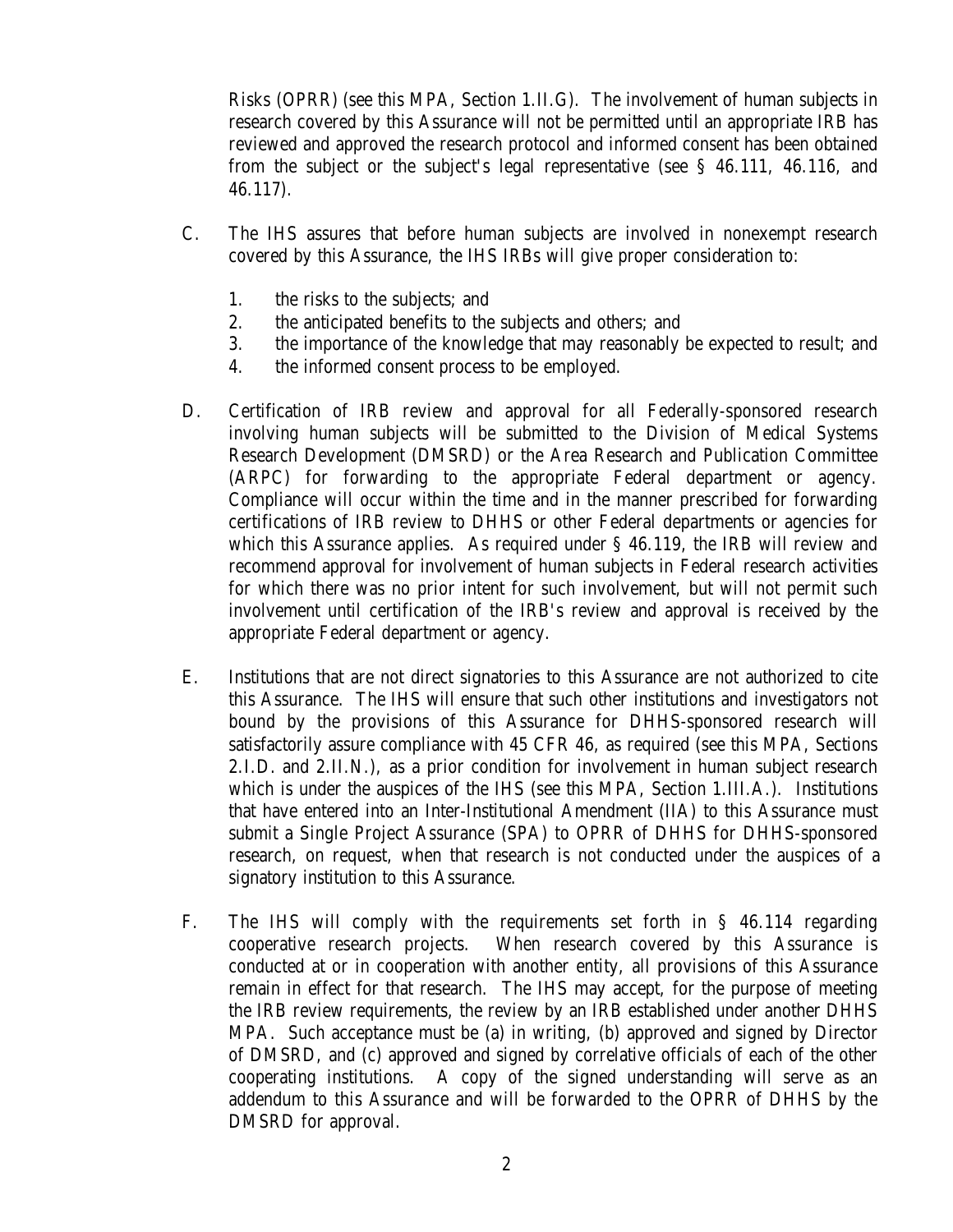Risks (OPRR) (see this MPA, Section 1.II.G). The involvement of human subjects in research covered by this Assurance will not be permitted until an appropriate IRB has reviewed and approved the research protocol and informed consent has been obtained from the subject or the subject's legal representative (see § 46.111, 46.116, and 46.117).

- $C_{\cdot}$ The IHS assures that before human subjects are involved in nonexempt research covered by this Assurance, the IHS IRBs will give proper consideration to:
	- 1. the risks to the subjects; and
	- $2.$ the anticipated benefits to the subjects and others; and
	- 3. the importance of the knowledge that may reasonably be expected to result; and
	- $\overline{4}$ . the informed consent process to be employed.
- D. D.Certification of IRB review and approval for all Federally-sponsored research involving human subjects will be submitted to the Division of Medical Systems Research Development (DMSRD) or the Area Research and Publication Committee (ARPC) for forwarding to the appropriate Federal department or agency. Compliance will occur within the time and in the manner prescribed for forwarding certifications of IRB review to DHHS or other Federal departments or agencies for which this Assurance applies. As required under § 46.119, the IRB will review and recommend approval for involvement of human subjects in Federal research activities for which there was no prior intent for such involvement, but will not permit such involvement until certification of the IRB's review and approval is received by the appropriate Federal department or agency.
- Ε. Institutions that are not direct signatories to this Assurance are not authorized to cite this Assurance. The IHS will ensure that such other institutions and investigators not bound by the provisions of this Assurance for DHHS-sponsored research will satisfactorily assure compliance with 45 CFR 46, as required (see this MPA, Sections 2.I.D. and 2.II.N.), as a prior condition for involvement in human subject research which is under the auspices of the IHS (see this MPA, Section 1.III.A.). Institutions that have entered into an Inter-Institutional Amendment (IIA) to this Assurance must submit a Single Project Assurance (SPA) to OPRR of DHHS for DHHS-sponsored research, on request, when that research is not conducted under the auspices of a signatory institution to this Assurance.
- $F_{\cdot}$ The IHS will comply with the requirements set forth in  $\S$  46.114 regarding cooperative research projects. When research covered by this Assurance is conducted at or in cooperation with another entity, all provisions of this Assurance remain in effect for that research. The IHS may accept, for the purpose of meeting the IRB review requirements, the review by an IRB established under another DHHS MPA. Such acceptance must be (a) in writing, (b) approved and signed by Director of DMSRD, and (c) approved and signed by correlative officials of each of the other cooperating institutions. A copy of the signed understanding will serve as an addendum to this Assurance and will be forwarded to the OPRR of DHHS by the DMSRD for approval.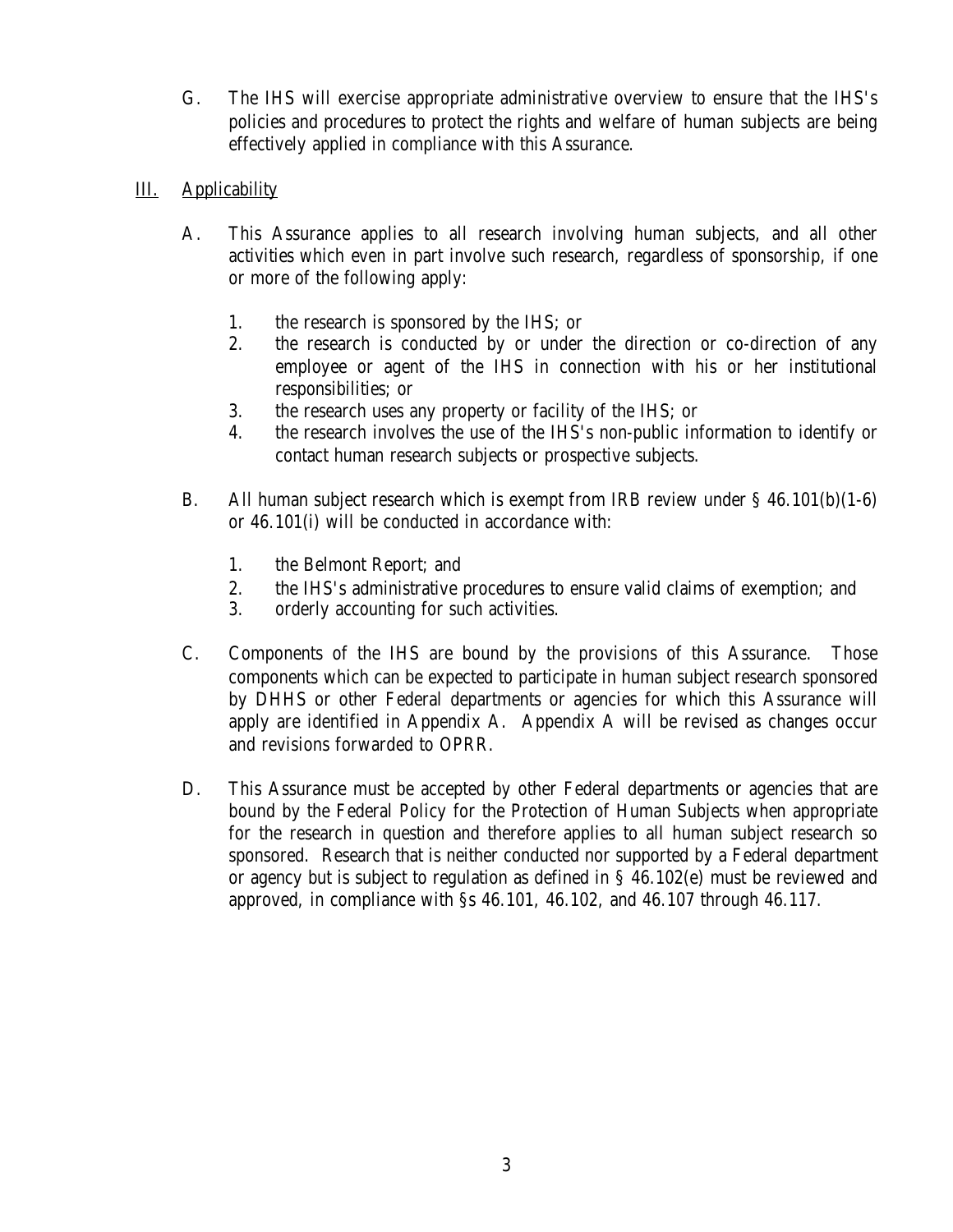<span id="page-6-0"></span> $G<sub>r</sub>$ The IHS will exercise appropriate administrative overview to ensure that the IHS's policies and procedures to protect the rights and welfare of human subjects are being effectively applied in compliance with this Assurance.

#### III. **Applicability**

- $A_{\cdot}$ This Assurance applies to all research involving human subjects, and all other activities which even in part involve such research, regardless of sponsorship, if one or more of the following apply:
	- 1. the research is sponsored by the IHS; or
	- 2. the research is conducted by or under the direction or co-direction of any employee or agent of the IHS in connection with his or her institutional responsibilities; or
	- 3. 3.the research uses any property or facility of the IHS; or
	- $\overline{4}$ . 4.the research involves the use of the IHS's non-public information to identify or contact human research subjects or prospective subjects.
- **B.** All human subject research which is exempt from IRB review under  $\S$  46.101(b)(1-6) or 46.101(i) will be conducted in accordance with:
	- 1. the Belmont Report; and
	- $2<sup>2</sup>$ 2.the IHS's administrative procedures to ensure valid claims of exemption; and
	- 3. orderly accounting for such activities.
- $C_{\cdot}$ Components of the IHS are bound by the provisions of this Assurance. Those components which can be expected to participate in human subject research sponsored by DHHS or other Federal departments or agencies for which this Assurance will apply are identified in Appendix A. Appendix A will be revised as changes occur and revisions forwarded to OPRR.
- D. This Assurance must be accepted by other Federal departments or agencies that are bound by the Federal Policy for the Protection of Human Subjects when appropriate for the research in question and therefore applies to all human subject research so sponsored. Research that is neither conducted nor supported by a Federal department or agency but is subject to regulation as defined in § 46.102(e) must be reviewed and approved, in compliance with §s 46.101, 46.102, and 46.107 through 46.117.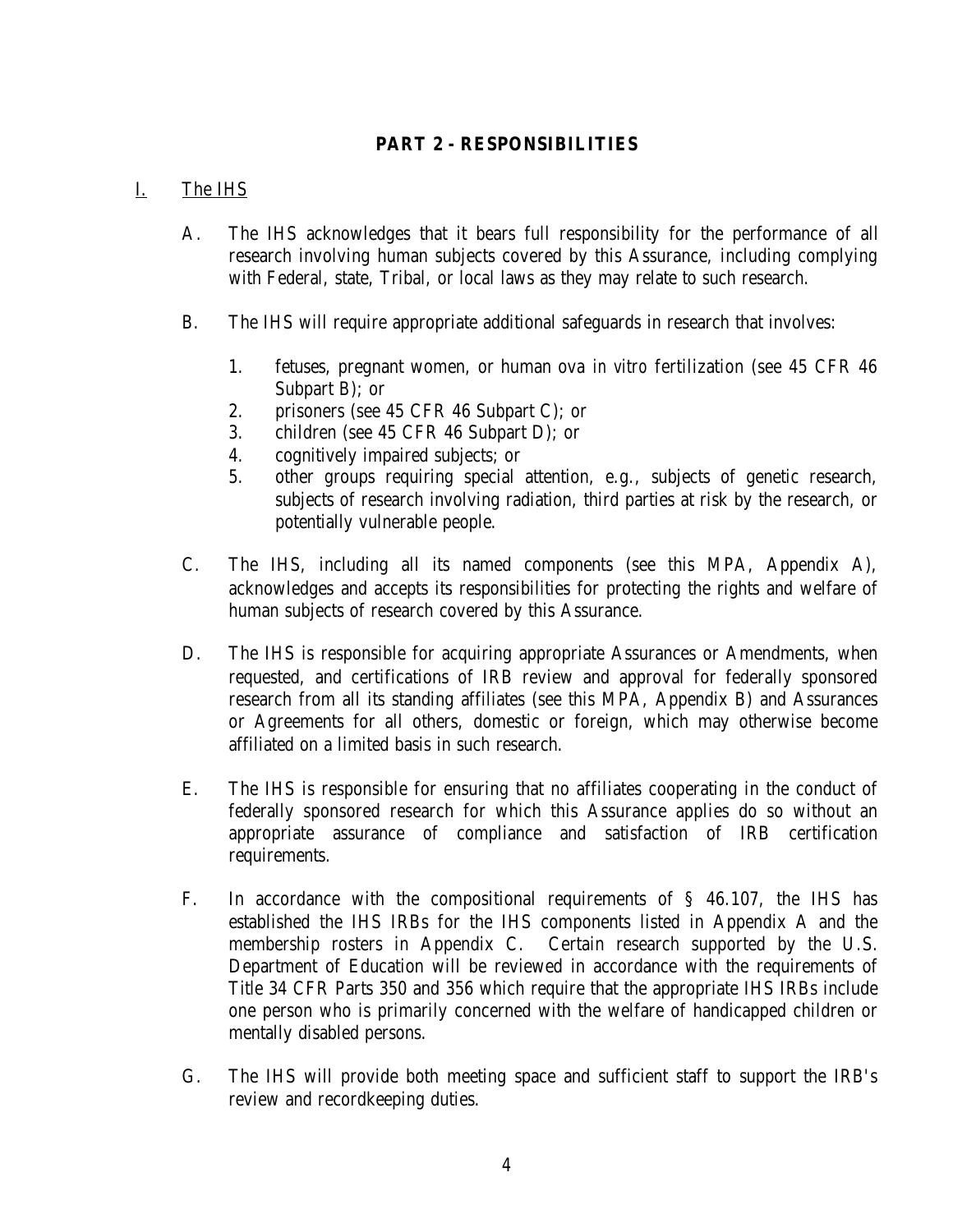#### **PART 2 - RESPONSIBILITIES**

#### <span id="page-7-0"></span>I. The IHS

- $A_{\cdot}$ The IHS acknowledges that it bears full responsibility for the performance of all research involving human subjects covered by this Assurance, including complying with Federal, state, Tribal, or local laws as they may relate to such research.
- **B.** The IHS will require appropriate additional safeguards in research that involves:
	- 1. 1.fetuses, pregnant women, or human ova *in vitro* fertilization (see 45 CFR 46 Subpart B); or
	- 2. 2.prisoners (see 45 CFR 46 Subpart C); or
	- 3. 3.children (see 45 CFR 46 Subpart D); or
	- 4. 4.cognitively impaired subjects; or
	- $5<sub>1</sub>$ other groups requiring special attention, e.g., subjects of genetic research, subjects of research involving radiation, third parties at risk by the research, or potentially vulnerable people.
- $C_{\cdot}$ The IHS, including all its named components (see this MPA, Appendix A), acknowledges and accepts its responsibilities for protecting the rights and welfare of human subjects of research covered by this Assurance.
- D. The IHS is responsible for acquiring appropriate Assurances or Amendments, when requested, and certifications of IRB review and approval for federally sponsored research from all its standing affiliates (see this MPA, Appendix B) and Assurances or Agreements for all others, domestic or foreign, which may otherwise become affiliated on a limited basis in such research.
- E. The IHS is responsible for ensuring that no affiliates cooperating in the conduct of federally sponsored research for which this Assurance applies do so without an appropriate assurance of compliance and satisfaction of IRB certification requirements.
- $F_{\cdot}$ In accordance with the compositional requirements of  $\S$  46.107, the IHS has established the IHS IRBs for the IHS components listed in Appendix A and the membership rosters in Appendix C. Certain research supported by the U.S. Department of Education will be reviewed in accordance with the requirements of Title 34 CFR Parts 350 and 356 which require that the appropriate IHS IRBs include one person who is primarily concerned with the welfare of handicapped children or mentally disabled persons.
- $G<sub>1</sub>$ The IHS will provide both meeting space and sufficient staff to support the IRB's review and recordkeeping duties.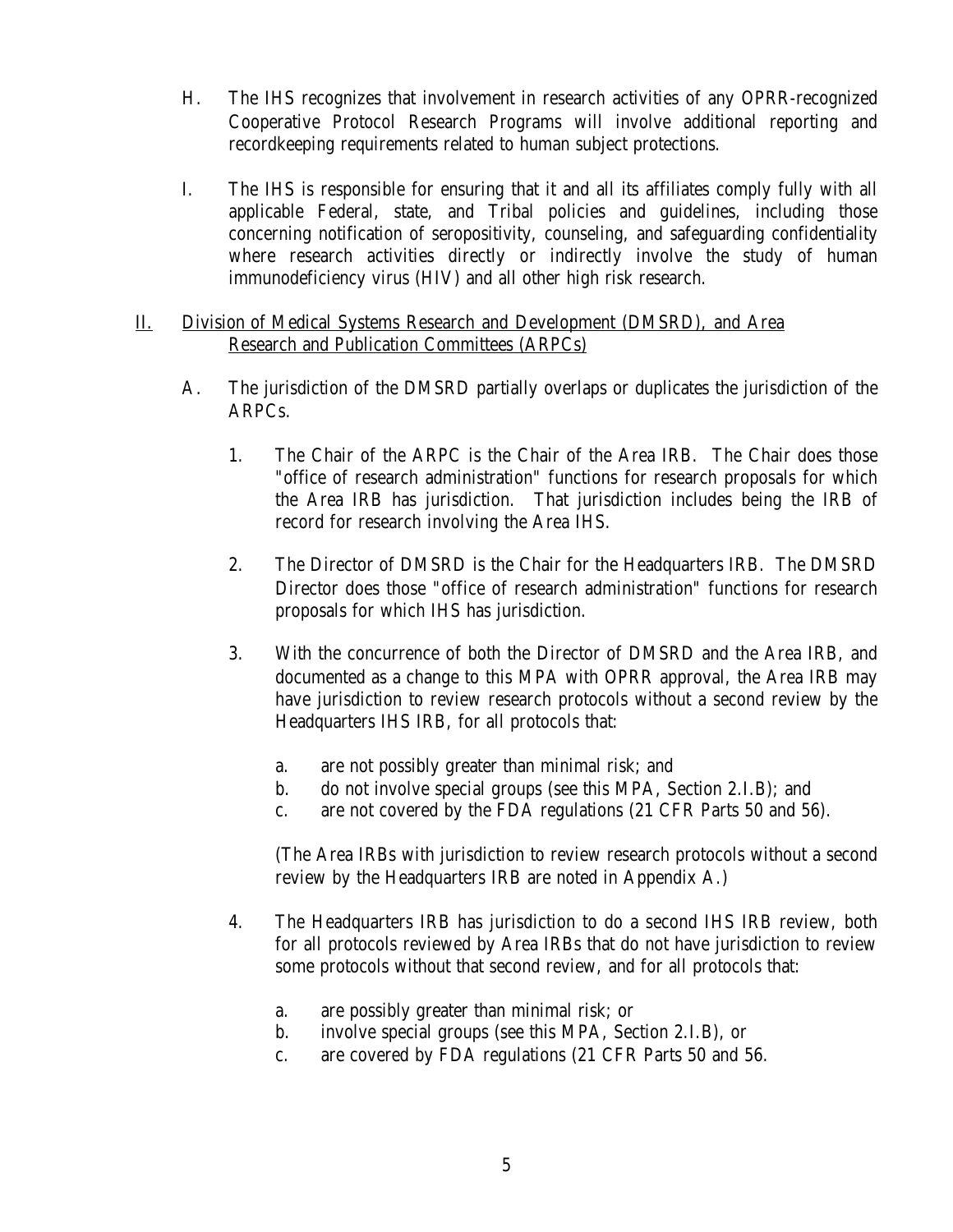- <span id="page-8-0"></span>H. The IHS recognizes that involvement in research activities of any OPRR-recognized Cooperative Protocol Research Programs will involve additional reporting and recordkeeping requirements related to human subject protections.
- $\mathbf{I}$ . The IHS is responsible for ensuring that it and all its affiliates comply fully with all applicable Federal, state, and Tribal policies and guidelines, including those concerning notification of seropositivity, counseling, and safeguarding confidentiality where research activities directly or indirectly involve the study of human immunodeficiency virus (HIV) and all other high risk research.
- П. Division of Medical Systems Research and Development (DMSRD), and Area Research and Publication Committees (ARPCs)
	- $A<sub>1</sub>$ The jurisdiction of the DMSRD partially overlaps or duplicates the jurisdiction of the ARPCs.
		- 1. 1.The Chair of the ARPC is the Chair of the Area IRB. The Chair does those "office of research administration" functions for research proposals for which the Area IRB has jurisdiction. That jurisdiction includes being the IRB of record for research involving the Area IHS.
		- 2. 2.The Director of DMSRD is the Chair for the Headquarters IRB. The DMSRD Director does those "office of research administration" functions for research proposals for which IHS has jurisdiction.
		- 3. With the concurrence of both the Director of DMSRD and the Area IRB, and documented as a change to this MPA with OPRR approval, the Area IRB may have jurisdiction to review research protocols without a second review by the Headquarters IHS IRB, for all protocols that:
			- a. are not possibly greater than minimal risk; and
			- $\mathbf{b}$ . b.do not involve special groups (see this MPA, Section 2.I.B); and
			- $\mathbf{c}$ . are not covered by the FDA regulations (21 CFR Parts 50 and 56).

(The Area IRBs with jurisdiction to review research protocols without a second review by the Headquarters IRB are noted in Appendix A.)

- 4. 4.The Headquarters IRB has jurisdiction to do a second IHS IRB review, both for all protocols reviewed by Area IRBs that do not have jurisdiction to review some protocols without that second review, and for all protocols that:
	- $a<sub>1</sub>$ are possibly greater than minimal risk; or
	- $\mathbf{b}$ . involve special groups (see this MPA, Section 2.I.B), or
	- $\mathbf{c}$ . are covered by FDA regulations (21 CFR Parts 50 and 56.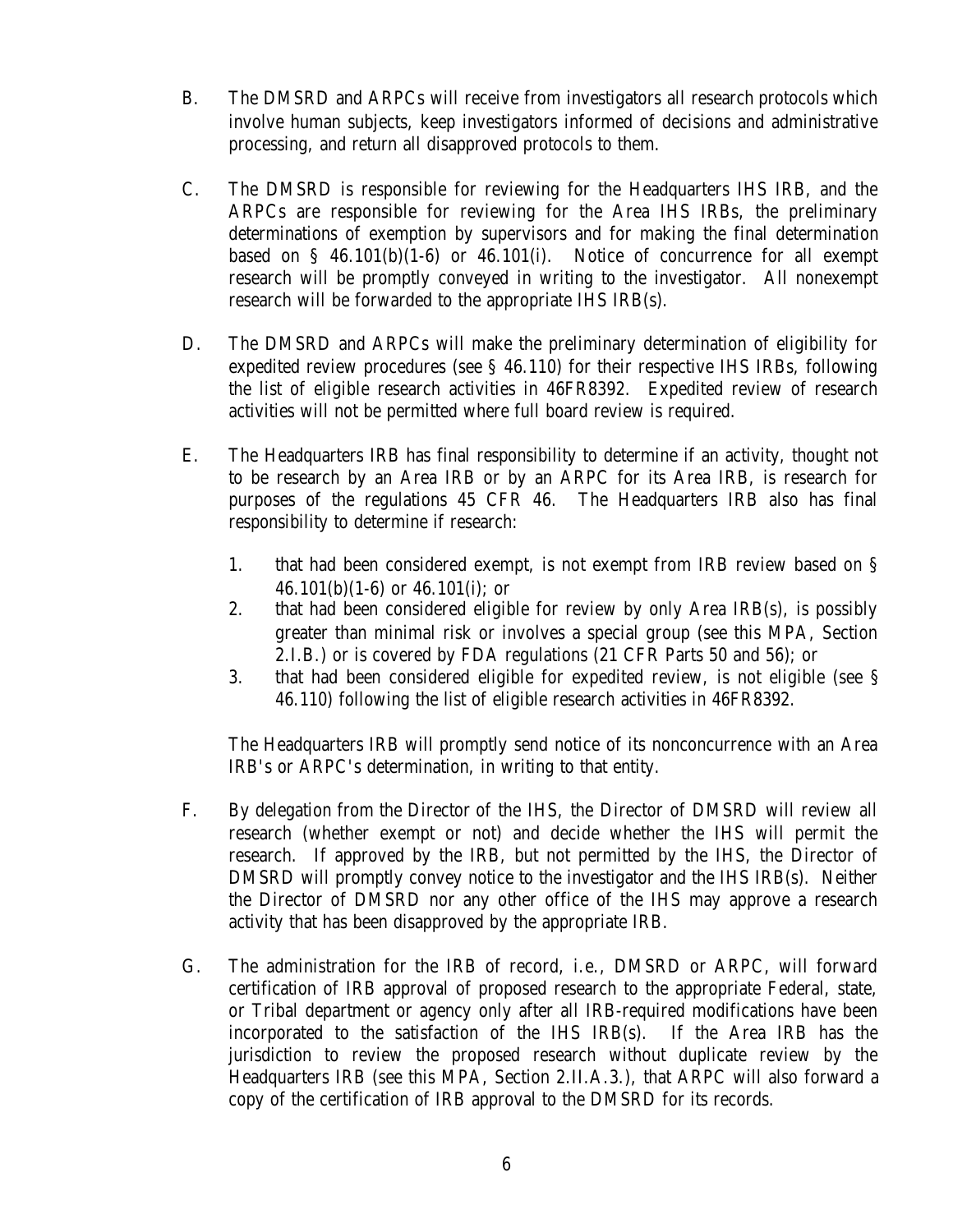- **B.** The DMSRD and ARPCs will receive from investigators all research protocols which involve human subjects, keep investigators informed of decisions and administrative processing, and return all disapproved protocols to them.
- $C_{\cdot}$ The DMSRD is responsible for reviewing for the Headquarters IHS IRB, and the ARPCs are responsible for reviewing for the Area IHS IRBs, the preliminary determinations of exemption by supervisors and for making the final determination based on  $\S$  46.101(b)(1-6) or 46.101(i). Notice of concurrence for all exempt research will be promptly conveyed in writing to the investigator. All nonexempt research will be forwarded to the appropriate IHS IRB(s).
- D. The DMSRD and ARPCs will make the preliminary determination of eligibility for expedited review procedures (see § 46.110) for their respective IHS IRBs, following the list of eligible research activities in 46FR8392. Expedited review of research activities will not be permitted where full board review is required.
- E. The Headquarters IRB has final responsibility to determine if an activity, thought not to be research by an Area IRB or by an ARPC for its Area IRB, is research for purposes of the regulations 45 CFR 46. The Headquarters IRB also has final responsibility to determine if research:
	- 1. that had been considered exempt, is not exempt from IRB review based on § 46.101(b)(1-6) or 46.101(i); or
	- 2. 2.that had been considered eligible for review by only Area IRB(s), is possibly greater than minimal risk or involves a special group (see this MPA, Section 2.I.B.) or is covered by FDA regulations (21 CFR Parts 50 and 56); or
	- 3. that had been considered eligible for expedited review, is not eligible (see § 46.110) following the list of eligible research activities in 46FR8392.

The Headquarters IRB will promptly send notice of its nonconcurrence with an Area IRB's or ARPC's determination, in writing to that entity.

- $F_{\cdot}$ By delegation from the Director of the IHS, the Director of DMSRD will review all research (whether exempt or not) and decide whether the IHS will permit the research. If approved by the IRB, but not permitted by the IHS, the Director of DMSRD will promptly convey notice to the investigator and the IHS IRB(s). Neither the Director of DMSRD nor any other office of the IHS may approve a research activity that has been disapproved by the appropriate IRB.
- $G<sub>r</sub>$ The administration for the IRB of record, i.e., DMSRD or ARPC, will forward certification of IRB approval of proposed research to the appropriate Federal, state, or Tribal department or agency only after all IRB-required modifications have been incorporated to the satisfaction of the IHS IRB(s). If the Area IRB has the jurisdiction to review the proposed research without duplicate review by the Headquarters IRB (see this MPA, Section 2.II.A.3.), that ARPC will also forward a copy of the certification of IRB approval to the DMSRD for its records.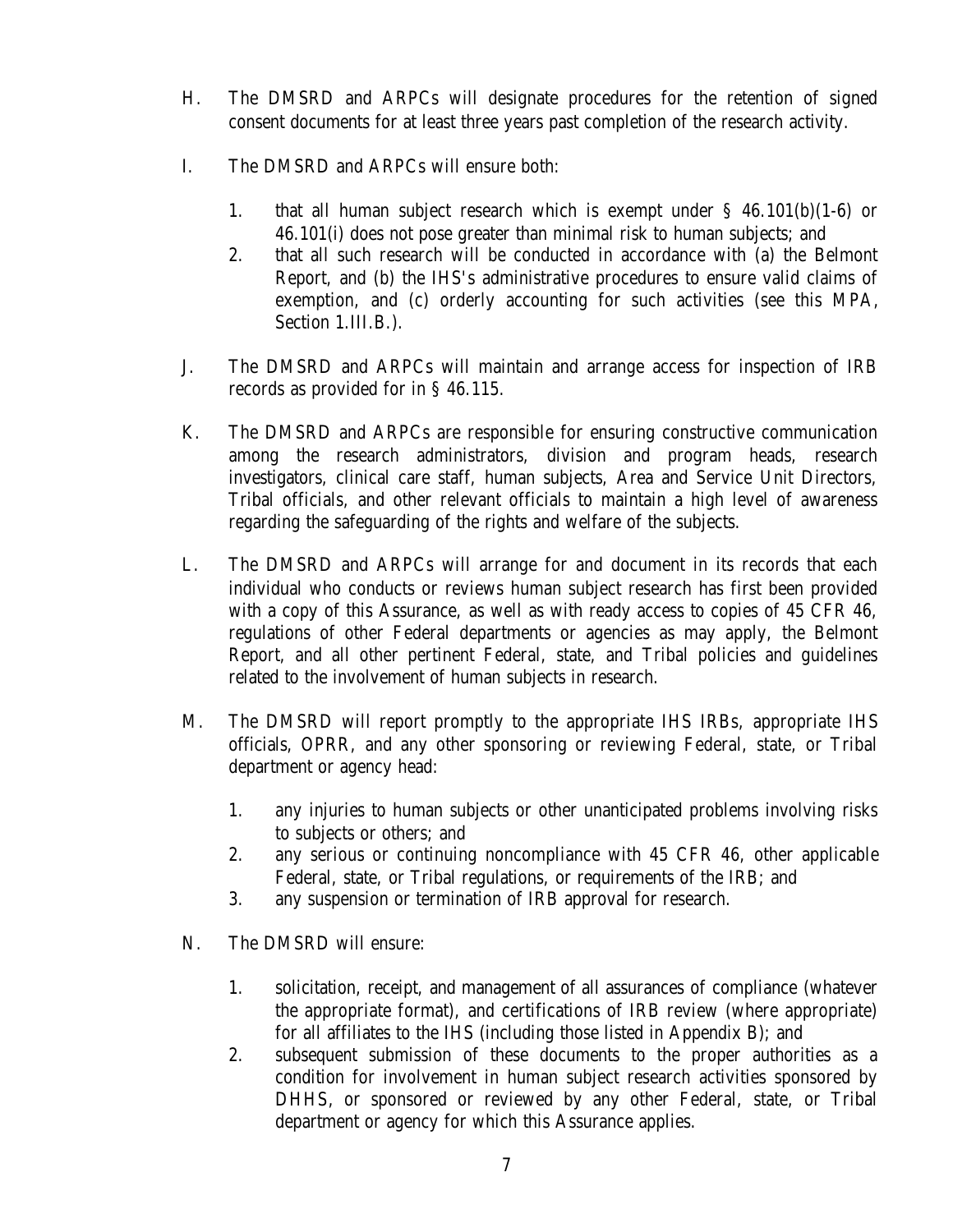- $H_{\odot}$ The DMSRD and ARPCs will designate procedures for the retention of signed consent documents for at least three years past completion of the research activity.
- $\mathbf{L}$ The DMSRD and ARPCs will ensure both:
	- 1. that all human subject research which is exempt under  $\S$  46.101(b)(1-6) or 46.101(i) does not pose greater than minimal risk to human subjects; and
	- $2.$ 2.that all such research will be conducted in accordance with (a) the Belmont Report, and (b) the IHS's administrative procedures to ensure valid claims of exemption, and (c) orderly accounting for such activities (see this MPA, Section 1.III.B.).
- J. The DMSRD and ARPCs will maintain and arrange access for inspection of IRB records as provided for in § 46.115.
- K. The DMSRD and ARPCs are responsible for ensuring constructive communication among the research administrators, division and program heads, research investigators, clinical care staff, human subjects, Area and Service Unit Directors, Tribal officials, and other relevant officials to maintain a high level of awareness regarding the safeguarding of the rights and welfare of the subjects.
- L. The DMSRD and ARPCs will arrange for and document in its records that each individual who conducts or reviews human subject research has first been provided with a copy of this Assurance, as well as with ready access to copies of 45 CFR 46, regulations of other Federal departments or agencies as may apply, the Belmont Report, and all other pertinent Federal, state, and Tribal policies and guidelines related to the involvement of human subjects in research.
- М. The DMSRD will report promptly to the appropriate IHS IRBs, appropriate IHS officials, OPRR, and any other sponsoring or reviewing Federal, state, or Tribal department or agency head:
	- 1. any injuries to human subjects or other unanticipated problems involving risks to subjects or others; and
	- $2.$ any serious or continuing noncompliance with 45 CFR 46, other applicable Federal, state, or Tribal regulations, or requirements of the IRB; and
	- 3. any suspension or termination of IRB approval for research.
- N. The DMSRD will ensure:
	- 1. solicitation, receipt, and management of all assurances of compliance (whatever the appropriate format), and certifications of IRB review (where appropriate) for all affiliates to the IHS (including those listed in Appendix B); and
	- $2<sup>2</sup>$ 2.subsequent submission of these documents to the proper authorities as a condition for involvement in human subject research activities sponsored by DHHS, or sponsored or reviewed by any other Federal, state, or Tribal department or agency for which this Assurance applies.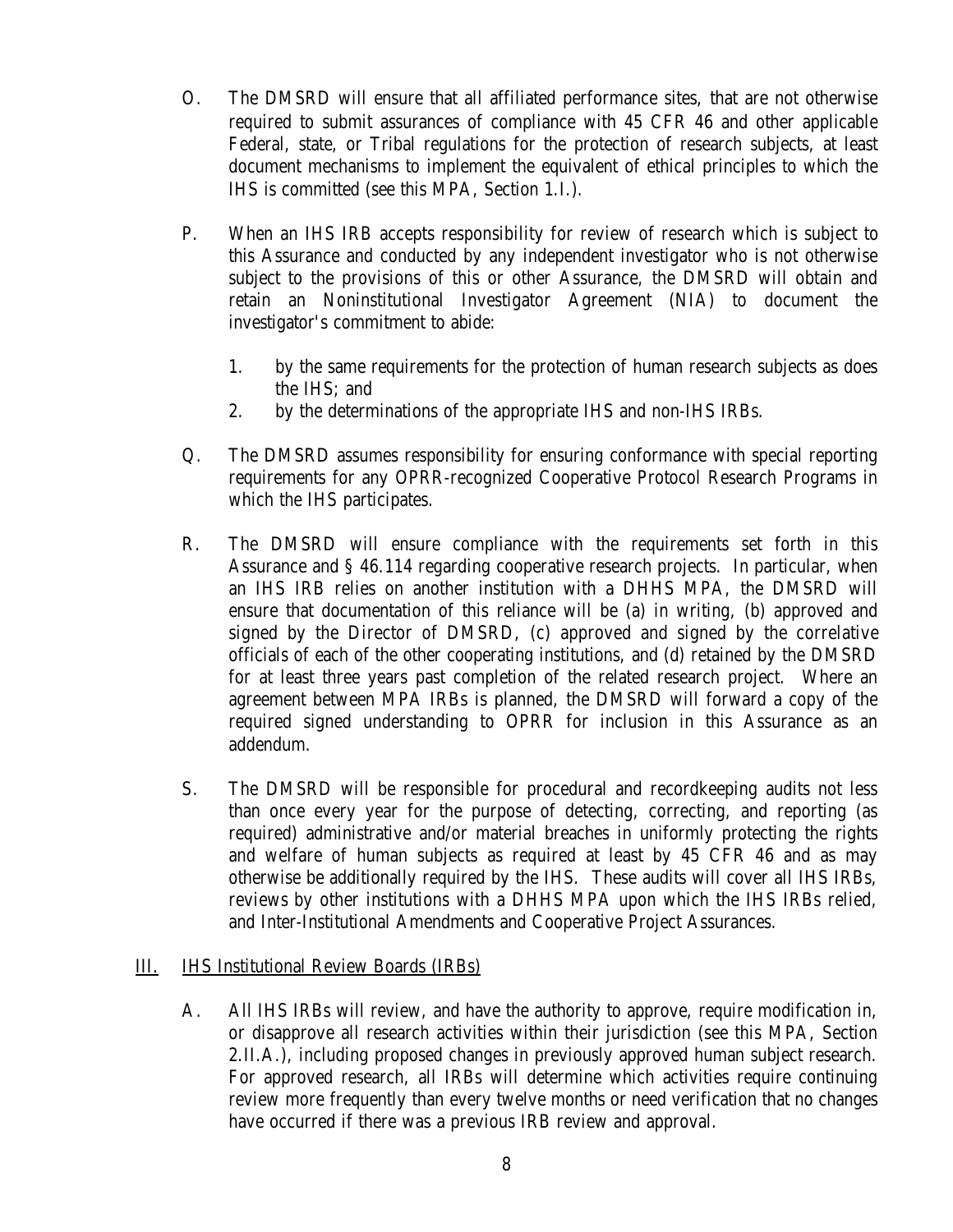- <span id="page-11-0"></span> $\overline{O}$ . The DMSRD will ensure that all affiliated performance sites, that are not otherwise required to submit assurances of compliance with 45 CFR 46 and other applicable Federal, state, or Tribal regulations for the protection of research subjects, at least document mechanisms to implement the equivalent of ethical principles to which the IHS is committed (see this MPA, Section 1.I.).
- $P_{\perp}$ When an IHS IRB accepts responsibility for review of research which is subject to this Assurance and conducted by any independent investigator who is not otherwise subject to the provisions of this or other Assurance, the DMSRD will obtain and retain an Noninstitutional Investigator Agreement (NIA) to document the investigator's commitment to abide:
	- 1. by the same requirements for the protection of human research subjects as does the IHS; and
	- $2.$ by the determinations of the appropriate IHS and non-IHS IRBs.
- $Q_{\cdot}$ The DMSRD assumes responsibility for ensuring conformance with special reporting requirements for any OPRR-recognized Cooperative Protocol Research Programs in which the IHS participates.
- $R_{\cdot}$ The DMSRD will ensure compliance with the requirements set forth in this Assurance and § 46.114 regarding cooperative research projects. In particular, when an IHS IRB relies on another institution with a DHHS MPA, the DMSRD will ensure that documentation of this reliance will be (a) in writing, (b) approved and signed by the Director of DMSRD, (c) approved and signed by the correlative officials of each of the other cooperating institutions, and (d) retained by the DMSRD for at least three years past completion of the related research project. Where an agreement between MPA IRBs is planned, the DMSRD will forward a copy of the required signed understanding to OPRR for inclusion in this Assurance as an addendum.
- $S_{\cdot}$ The DMSRD will be responsible for procedural and recordkeeping audits not less than once every year for the purpose of detecting, correcting, and reporting (as required) administrative and/or material breaches in uniformly protecting the rights and welfare of human subjects as required at least by 45 CFR 46 and as may otherwise be additionally required by the IHS. These audits will cover all IHS IRBs, reviews by other institutions with a DHHS MPA upon which the IHS IRBs relied, and Inter-Institutional Amendments and Cooperative Project Assurances.

#### III. **IHS Institutional Review Boards (IRBs)**

 $A<sub>1</sub>$ A. A. I. H. *S. IRBs* will review, and have the authority to approve, require modification in, or disapprove all research activities within their jurisdiction (see this MPA, Section 2.II.A.), including proposed changes in previously approved human subject research. For approved research, all IRBs will determine which activities require continuing review more frequently than every twelve months or need verification that no changes have occurred if there was a previous IRB review and approval.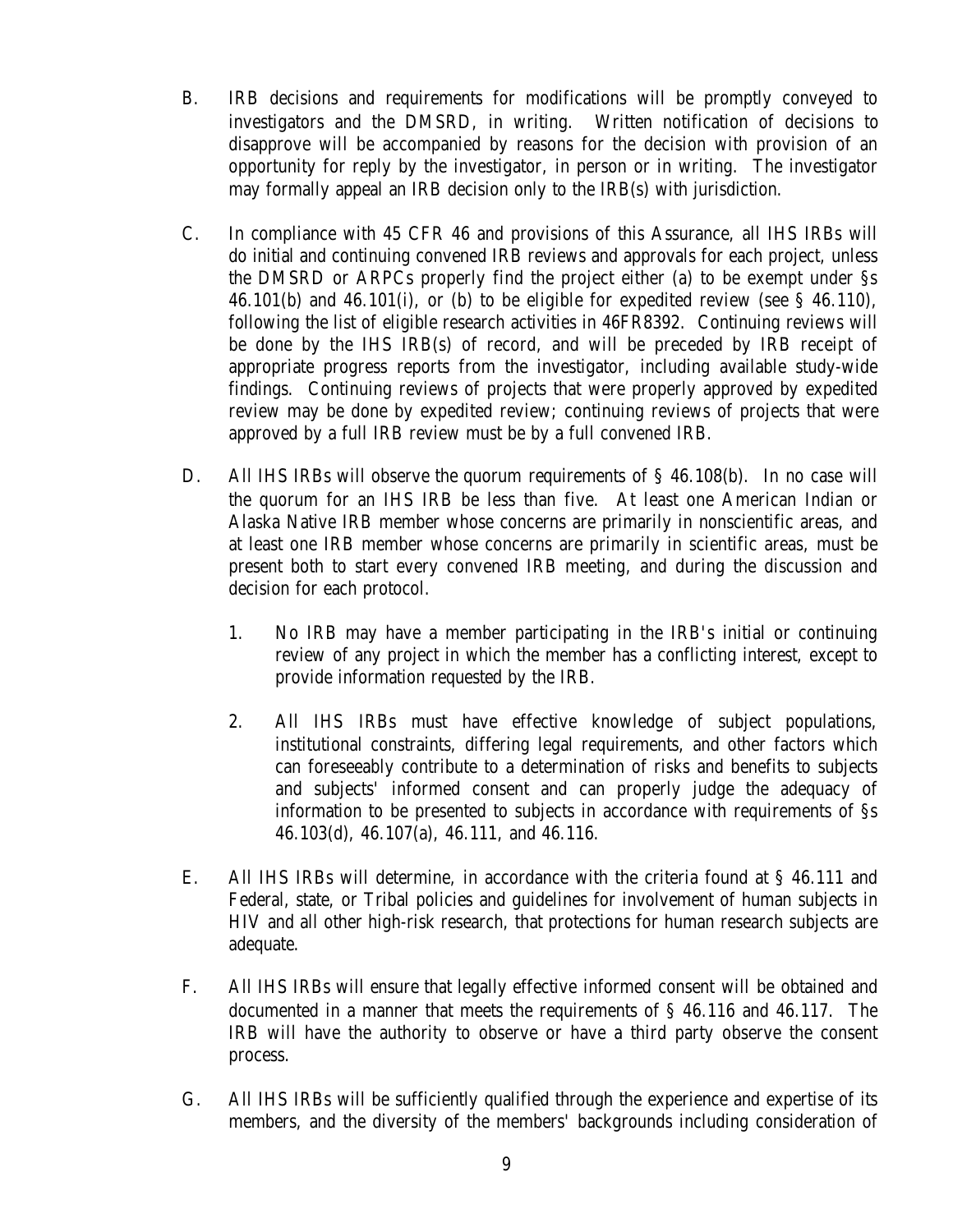- **B.** B.IRB decisions and requirements for modifications will be promptly conveyed to investigators and the DMSRD, in writing. Written notification of decisions to disapprove will be accompanied by reasons for the decision with provision of an opportunity for reply by the investigator, in person or in writing. The investigator may formally appeal an IRB decision only to the IRB(s) with jurisdiction.
- $C_{\cdot}$ In compliance with 45 CFR 46 and provisions of this Assurance, all IHS IRBs will do initial and continuing convened IRB reviews and approvals for each project, unless the DMSRD or ARPCs properly find the project either (a) to be exempt under §s 46.101(b) and 46.101(i), or (b) to be eligible for expedited review (see  $\S$  46.110), following the list of eligible research activities in 46FR8392. Continuing reviews will be done by the IHS IRB(s) of record, and will be preceded by IRB receipt of appropriate progress reports from the investigator, including available study-wide findings. Continuing reviews of projects that were properly approved by expedited review may be done by expedited review; continuing reviews of projects that were approved by a full IRB review must be by a full convened IRB.
- D. All IHS IRBs will observe the quorum requirements of  $\S$  46.108(b). In no case will the quorum for an IHS IRB be less than five. At least one American Indian or Alaska Native IRB member whose concerns are primarily in nonscientific areas, and at least one IRB member whose concerns are primarily in scientific areas, must be present both to start every convened IRB meeting, and during the discussion and decision for each protocol.
	- $1.$ 1.No IRB may have a member participating in the IRB's initial or continuing review of any project in which the member has a conflicting interest, except to provide information requested by the IRB.
	- $2.$ All IHS IRBs must have effective knowledge of subject populations, institutional constraints, differing legal requirements, and other factors which can foreseeably contribute to a determination of risks and benefits to subjects and subjects' informed consent and can properly judge the adequacy of information to be presented to subjects in accordance with requirements of §s 46.103(d), 46.107(a), 46.111, and 46.116.
- E. All IHS IRBs will determine, in accordance with the criteria found at  $\S$  46.111 and Federal, state, or Tribal policies and guidelines for involvement of human subjects in HIV and all other high-risk research, that protections for human research subjects are adequate.
- $F_{\cdot}$ All IHS IRBs will ensure that legally effective informed consent will be obtained and documented in a manner that meets the requirements of § 46.116 and 46.117. The IRB will have the authority to observe or have a third party observe the consent process.
- $G<sub>r</sub>$ All IHS IRBs will be sufficiently qualified through the experience and expertise of its members, and the diversity of the members' backgrounds including consideration of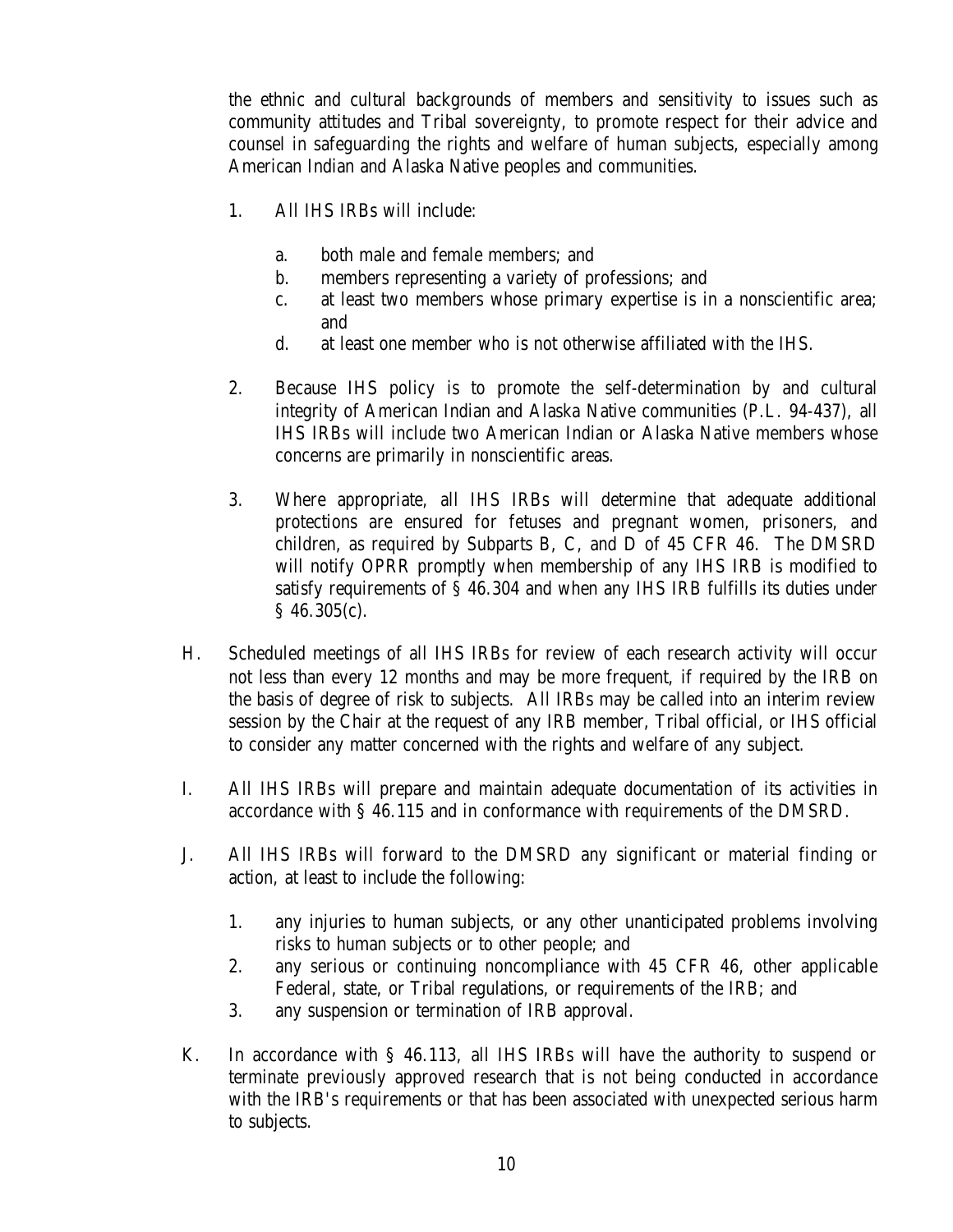the ethnic and cultural backgrounds of members and sensitivity to issues such as community attitudes and Tribal sovereignty, to promote respect for their advice and counsel in safeguarding the rights and welfare of human subjects, especially among American Indian and Alaska Native peoples and communities.

- $1<sub>1</sub>$ 1.All IHS IRBs will include:
	- $\mathbf{a}$ . both male and female members; and
	- $\mathbf{b}$ . members representing a variety of professions; and
	- $\mathbf{C}$ . at least two members whose primary expertise is in a nonscientific area; and
	- $\mathbf{d}$ . at least one member who is not otherwise affiliated with the IHS.
- $2.$ 2.Because IHS policy is to promote the self-determination by and cultural integrity of American Indian and Alaska Native communities (P.L. 94-437), all IHS IRBs will include two American Indian or Alaska Native members whose concerns are primarily in nonscientific areas.
- 3. 3.Where appropriate, all IHS IRBs will determine that adequate additional protections are ensured for fetuses and pregnant women, prisoners, and children, as required by Subparts B, C, and D of 45 CFR 46. The DMSRD will notify OPRR promptly when membership of any IHS IRB is modified to satisfy requirements of § 46.304 and when any IHS IRB fulfills its duties under § 46.305(c).
- H. Scheduled meetings of all IHS IRBs for review of each research activity will occur not less than every 12 months and may be more frequent, if required by the IRB on the basis of degree of risk to subjects. All IRBs may be called into an interim review session by the Chair at the request of any IRB member, Tribal official, or IHS official to consider any matter concerned with the rights and welfare of any subject.
- $\mathbf{I}$ . I.All IHS IRBs will prepare and maintain adequate documentation of its activities in accordance with § 46.115 and in conformance with requirements of the DMSRD.
- J. All IHS IRBs will forward to the DMSRD any significant or material finding or action, at least to include the following:
	- 1. any injuries to human subjects, or any other unanticipated problems involving risks to human subjects or to other people; and
	- 2. any serious or continuing noncompliance with 45 CFR 46, other applicable Federal, state, or Tribal regulations, or requirements of the IRB; and
	- 3. any suspension or termination of IRB approval.
- $K_{\cdot}$ In accordance with  $\S$  46.113, all IHS IRBs will have the authority to suspend or terminate previously approved research that is not being conducted in accordance with the IRB's requirements or that has been associated with unexpected serious harm to subjects.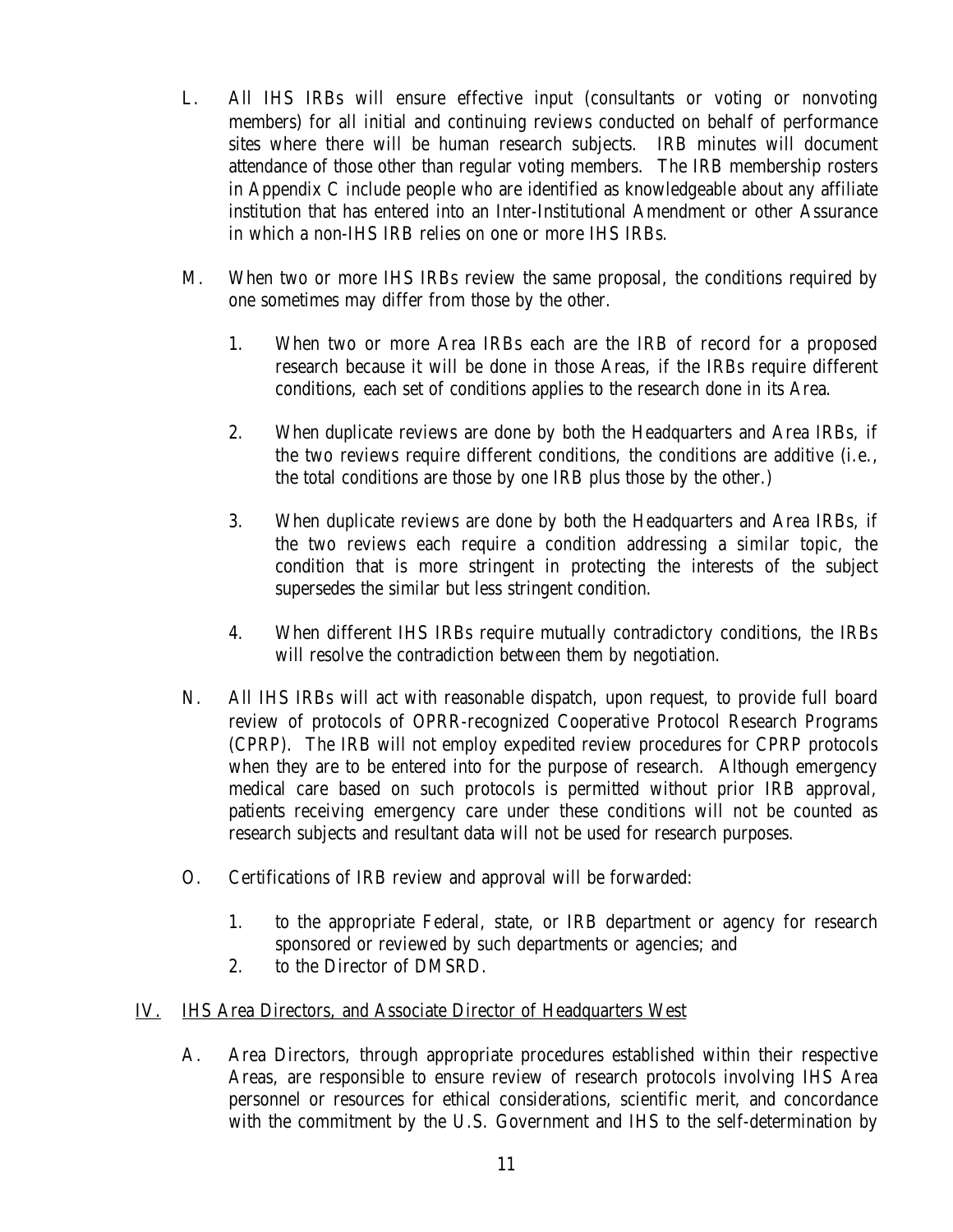- <span id="page-14-0"></span>L. L.All IHS IRBs will ensure effective input (consultants or voting or nonvoting members) for all initial and continuing reviews conducted on behalf of performance sites where there will be human research subjects. IRB minutes will document attendance of those other than regular voting members. The IRB membership rosters in Appendix C include people who are identified as knowledgeable about any affiliate institution that has entered into an Inter-Institutional Amendment or other Assurance in which a non-IHS IRB relies on one or more IHS IRBs.
- М. When two or more IHS IRBs review the same proposal, the conditions required by one sometimes may differ from those by the other.
	- 1. 1.When two or more Area IRBs each are the IRB of record for a proposed research because it will be done in those Areas, if the IRBs require different conditions, each set of conditions applies to the research done in its Area.
	- $2<sup>2</sup>$ 2.When duplicate reviews are done by both the Headquarters and Area IRBs, if the two reviews require different conditions, the conditions are additive (i.e., the total conditions are those by one IRB plus those by the other.)
	- 3. 3.When duplicate reviews are done by both the Headquarters and Area IRBs, if the two reviews each require a condition addressing a similar topic, the condition that is more stringent in protecting the interests of the subject supersedes the similar but less stringent condition.
	- $\overline{4}$ . 4.When different IHS IRBs require mutually contradictory conditions, the IRBs will resolve the contradiction between them by negotiation.
- N. N.All IHS IRBs will act with reasonable dispatch, upon request, to provide full board review of protocols of OPRR-recognized Cooperative Protocol Research Programs (CPRP). The IRB will not employ expedited review procedures for CPRP protocols when they are to be entered into for the purpose of research. Although emergency medical care based on such protocols is permitted without prior IRB approval, patients receiving emergency care under these conditions will not be counted as research subjects and resultant data will not be used for research purposes.
- $\overline{O}$ . Certifications of IRB review and approval will be forwarded:
	- 1. to the appropriate Federal, state, or IRB department or agency for research sponsored or reviewed by such departments or agencies; and
	- $2.$ to the Director of DMSRD.
- IV. IHS Area Directors, and Associate Director of Headquarters West
	- $A_{\cdot}$ Area Directors, through appropriate procedures established within their respective Areas, are responsible to ensure review of research protocols involving IHS Area personnel or resources for ethical considerations, scientific merit, and concordance with the commitment by the U.S. Government and IHS to the self-determination by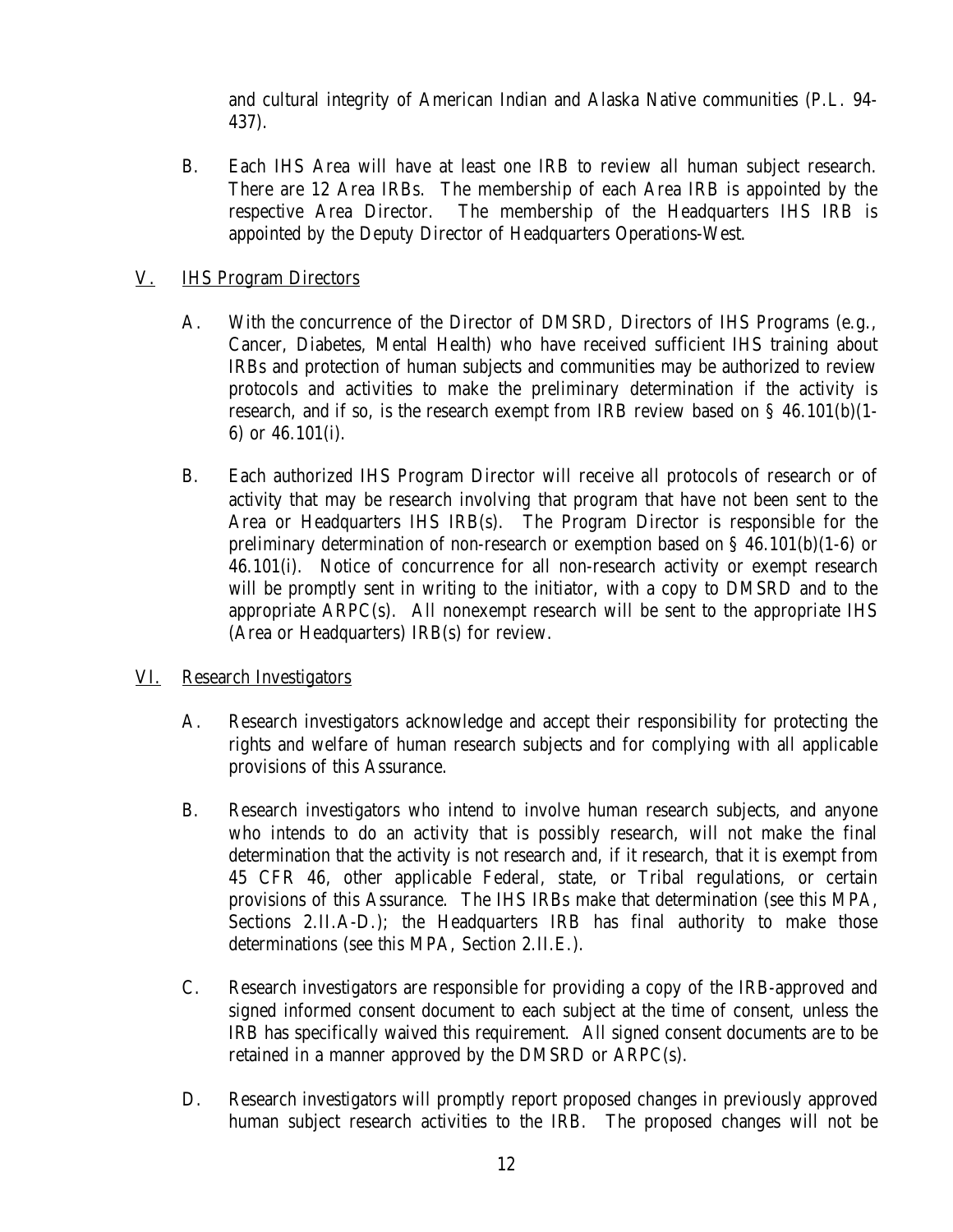and cultural integrity of American Indian and Alaska Native communities (P.L. 94 437).

<span id="page-15-0"></span>**B.** Each IHS Area will have at least one IRB to review all human subject research. There are 12 Area IRBs. The membership of each Area IRB is appointed by the respective Area Director. The membership of the Headquarters IHS IRB is appointed by the Deputy Director of Headquarters Operations-West.

#### V. **IHS Program Directors**

- $A_{\cdot}$ With the concurrence of the Director of DMSRD, Directors of IHS Programs (e.g., Cancer, Diabetes, Mental Health) who have received sufficient IHS training about IRBs and protection of human subjects and communities may be authorized to review protocols and activities to make the preliminary determination if the activity is research, and if so, is the research exempt from IRB review based on  $\S$  46.101(b)(1-6) or 46.101(i).
- **B.** Each authorized IHS Program Director will receive all protocols of research or of activity that may be research involving that program that have not been sent to the Area or Headquarters IHS IRB(s). The Program Director is responsible for the preliminary determination of non-research or exemption based on  $\S$  46.101(b)(1-6) or 46.101(i). Notice of concurrence for all non-research activity or exempt research will be promptly sent in writing to the initiator, with a copy to DMSRD and to the appropriate ARPC(s). All nonexempt research will be sent to the appropriate IHS (Area or Headquarters) IRB(s) for review.
- VI. Research Investigators
	- $A_{\cdot}$ Research investigators acknowledge and accept their responsibility for protecting the rights and welfare of human research subjects and for complying with all applicable provisions of this Assurance.
	- **B.** B.Research investigators who intend to involve human research subjects, and anyone who intends to do an activity that is possibly research, will not make the final determination that the activity is not research and, if it research, that it is exempt from 45 CFR 46, other applicable Federal, state, or Tribal regulations, or certain provisions of this Assurance. The IHS IRBs make that determination (see this MPA, Sections 2.II.A-D.); the Headquarters IRB has final authority to make those determinations (see this MPA, Section 2.II.E.).
	- $C_{\cdot}$ Research investigators are responsible for providing a copy of the IRB-approved and signed informed consent document to each subject at the time of consent, unless the IRB has specifically waived this requirement. All signed consent documents are to be retained in a manner approved by the DMSRD or ARPC(s).
	- D. Research investigators will promptly report proposed changes in previously approved human subject research activities to the IRB. The proposed changes will not be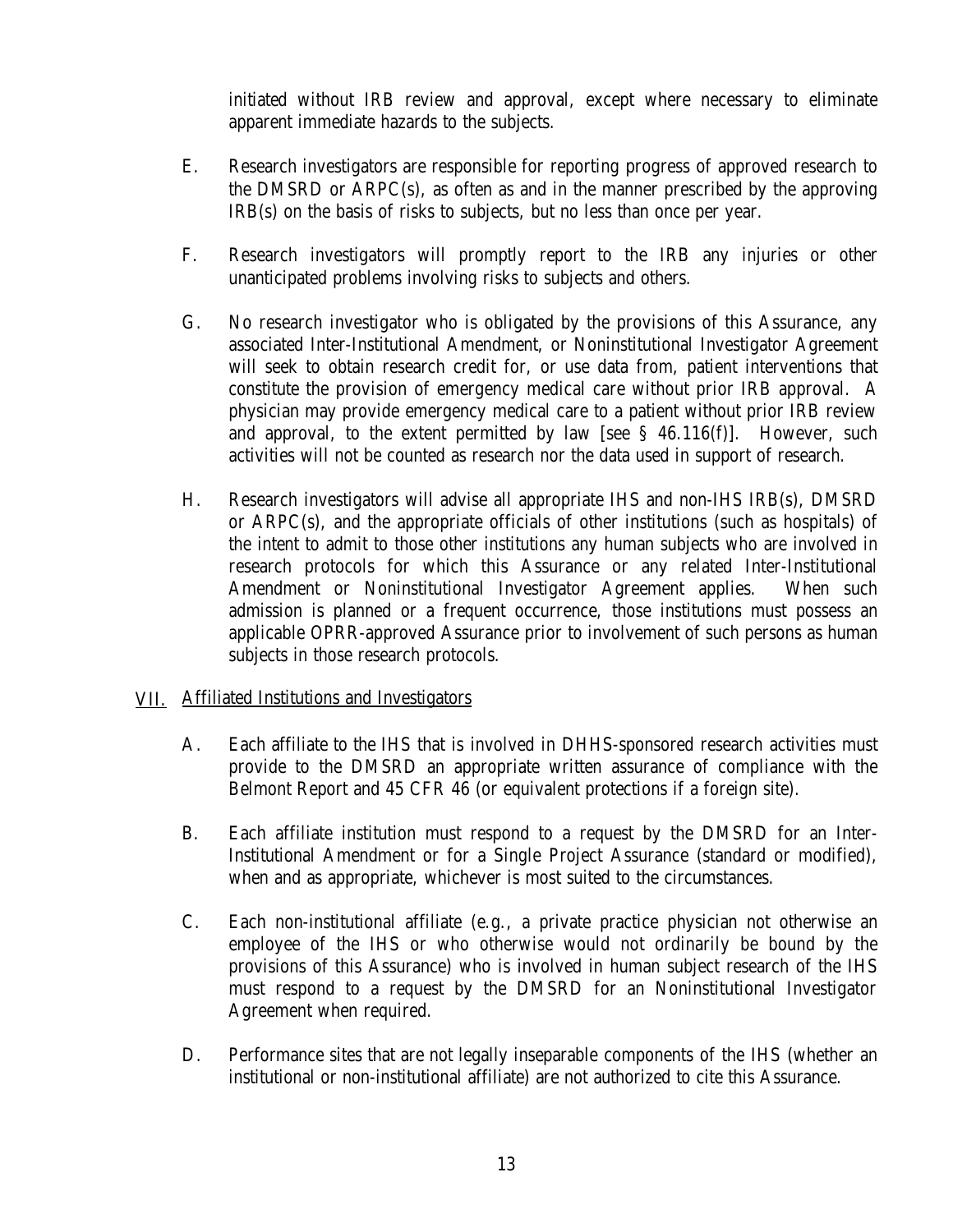initiated without IRB review and approval, except where necessary to eliminate apparent immediate hazards to the subjects.

- <span id="page-16-0"></span>E. E.Research investigators are responsible for reporting progress of approved research to the DMSRD or ARPC(s), as often as and in the manner prescribed by the approving IRB(s) on the basis of risks to subjects, but no less than once per year.
- $F_{\cdot}$ Research investigators will promptly report to the IRB any injuries or other unanticipated problems involving risks to subjects and others.
- $G<sub>r</sub>$ No research investigator who is obligated by the provisions of this Assurance, any associated Inter-Institutional Amendment, or Noninstitutional Investigator Agreement will seek to obtain research credit for, or use data from, patient interventions that constitute the provision of emergency medical care without prior IRB approval. A physician may provide emergency medical care to a patient without prior IRB review and approval, to the extent permitted by law [see  $\S$  46.116(f)]. However, such activities will not be counted as research nor the data used in support of research.
- H. Research investigators will advise all appropriate IHS and non-IHS IRB(s), DMSRD or ARPC(s), and the appropriate officials of other institutions (such as hospitals) of the intent to admit to those other institutions any human subjects who are involved in research protocols for which this Assurance or any related Inter-Institutional Amendment or Noninstitutional Investigator Agreement applies. When such admission is planned or a frequent occurrence, those institutions must possess an applicable OPRR-approved Assurance prior to involvement of such persons as human subjects in those research protocols.

#### VII. Affiliated Institutions and Investigators

- $A<sub>1</sub>$ Each affiliate to the IHS that is involved in DHHS-sponsored research activities must provide to the DMSRD an appropriate written assurance of compliance with the Belmont Report and 45 CFR 46 (or equivalent protections if a foreign site).
- $B<sub>1</sub>$ Each affiliate institution must respond to a request by the DMSRD for an Inter-Institutional Amendment or for a Single Project Assurance (standard or modified), when and as appropriate, whichever is most suited to the circumstances.
- $C_{\cdot}$ Each non-institutional affiliate (e.g., a private practice physician not otherwise an employee of the IHS or who otherwise would not ordinarily be bound by the provisions of this Assurance) who is involved in human subject research of the IHS must respond to a request by the DMSRD for an Noninstitutional Investigator Agreement when required.
- D. Performance sites that are not legally inseparable components of the IHS (whether an institutional or non-institutional affiliate) are not authorized to cite this Assurance.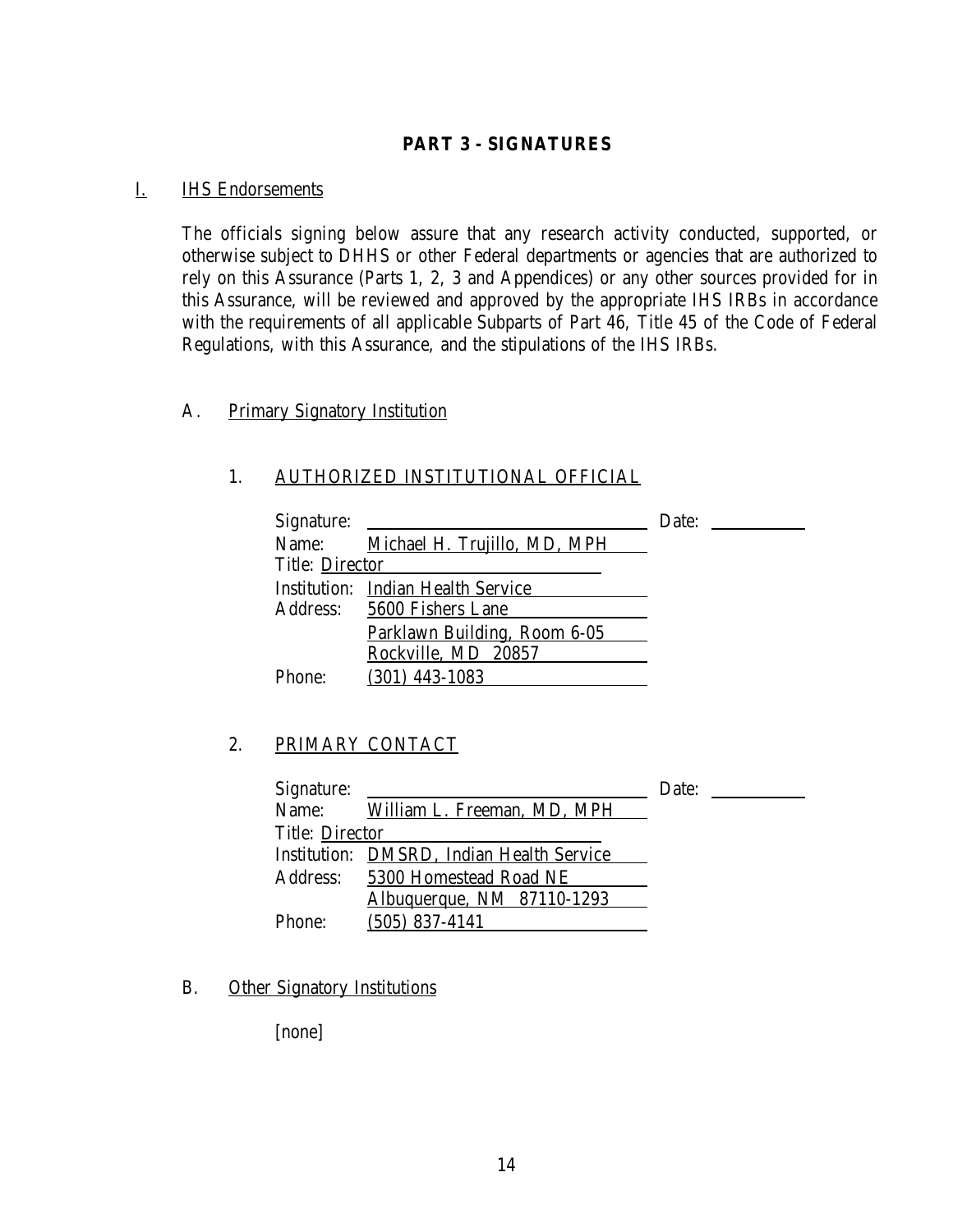#### **PART 3 - SIGNATURES**

#### <span id="page-17-0"></span>I. IHS Endorsements

The officials signing below assure that any research activity conducted, supported, or otherwise subject to DHHS or other Federal departments or agencies that are authorized to rely on this Assurance (Parts 1, 2, 3 and Appendices) or any other sources provided for in this Assurance, will be reviewed and approved by the appropriate IHS IRBs in accordance with the requirements of all applicable Subparts of Part 46, Title 45 of the Code of Federal Regulations, with this Assurance, and the stipulations of the IHS IRBs.

#### A. Primary Signatory Institution

#### 1. AUTHORIZED INSTITUTIONAL OFFICIAL

| Signature:             |                                           | Date: |
|------------------------|-------------------------------------------|-------|
| Name:                  | Michael H. Trujillo, MD, MPH              |       |
| <b>Title: Director</b> |                                           |       |
|                        | <b>Institution: Indian Health Service</b> |       |
|                        | Address: 5600 Fishers Lane                |       |
|                        | Parklawn Building, Room 6-05              |       |
|                        | Rockville, MD 20857                       |       |
| Phone:                 | $(301)$ 443-1083                          |       |

#### 2. PRIMARY CONTACT

| Signature:             |                                           | Date: |
|------------------------|-------------------------------------------|-------|
|                        | Name: William L. Freeman, MD, MPH         |       |
| <b>Title: Director</b> |                                           |       |
|                        | Institution: DMSRD, Indian Health Service |       |
|                        | Address: 5300 Homestead Road NE           |       |
|                        | <u>Albuquerque, NM 87110-1293</u>         |       |
| Phone:                 | $(505)$ 837-4141                          |       |

#### **B. Other Signatory Institutions**

[none]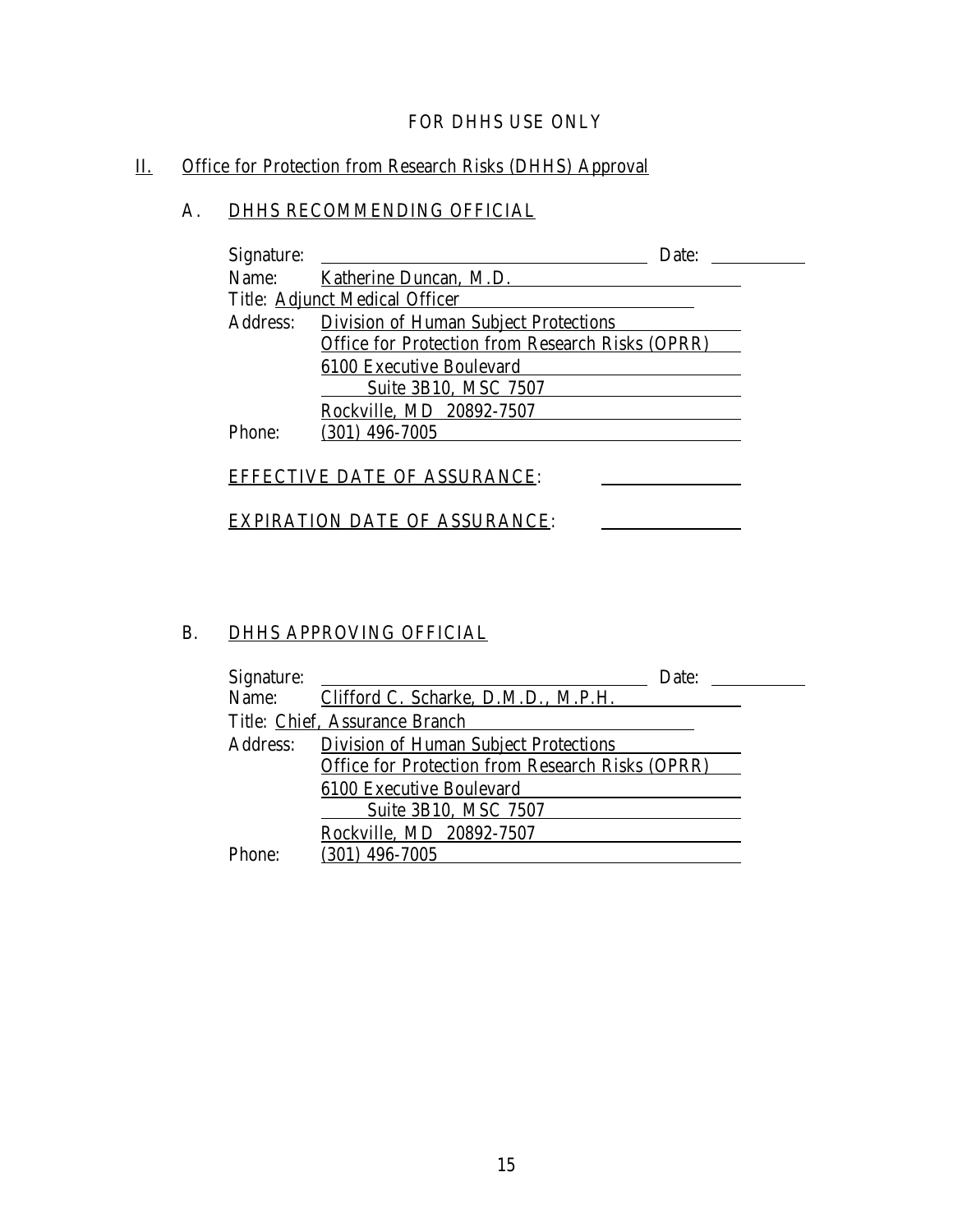#### FOR DHHS USE ONLY

### <span id="page-18-0"></span>II. Office for Protection from Research Risks (DHHS) Approval

### A. DHHS RECOMMENDING OFFICIAL

| Signature: |                                                  | Date: |
|------------|--------------------------------------------------|-------|
| Name:      | Katherine Duncan, M.D.                           |       |
|            | Title: Adjunct Medical Officer                   |       |
| Address:   | <b>Division of Human Subject Protections</b>     |       |
|            | Office for Protection from Research Risks (OPRR) |       |
|            | 6100 Executive Boulevard                         |       |
|            | Suite 3B10, MSC 7507                             |       |
|            | Rockville, MD 20892-7507                         |       |
| Phone:     | $(301)$ 496-7005                                 |       |
|            |                                                  |       |
|            | <b>EFFECTIVE DATE OF ASSURANCE:</b>              |       |
|            |                                                  |       |
|            | IRATION DATE OF ASSURANCE:                       |       |

#### B. DHHS APPROVING OFFICIAL

| Signature: | Date:                                                                                            |  |
|------------|--------------------------------------------------------------------------------------------------|--|
|            | Name: Clifford C. Scharke, D.M.D., M.P.H.                                                        |  |
|            | Title: Chief, Assurance Branch                                                                   |  |
| Address:   | <b>Division of Human Subject Protections</b><br>Office for Protection from Research Risks (OPRR) |  |
|            | 6100 Executive Boulevard                                                                         |  |
|            | Suite 3B10, MSC 7507<br>Rockville, MD 20892-7507                                                 |  |
| Phone      | $(301)$ 496-7005                                                                                 |  |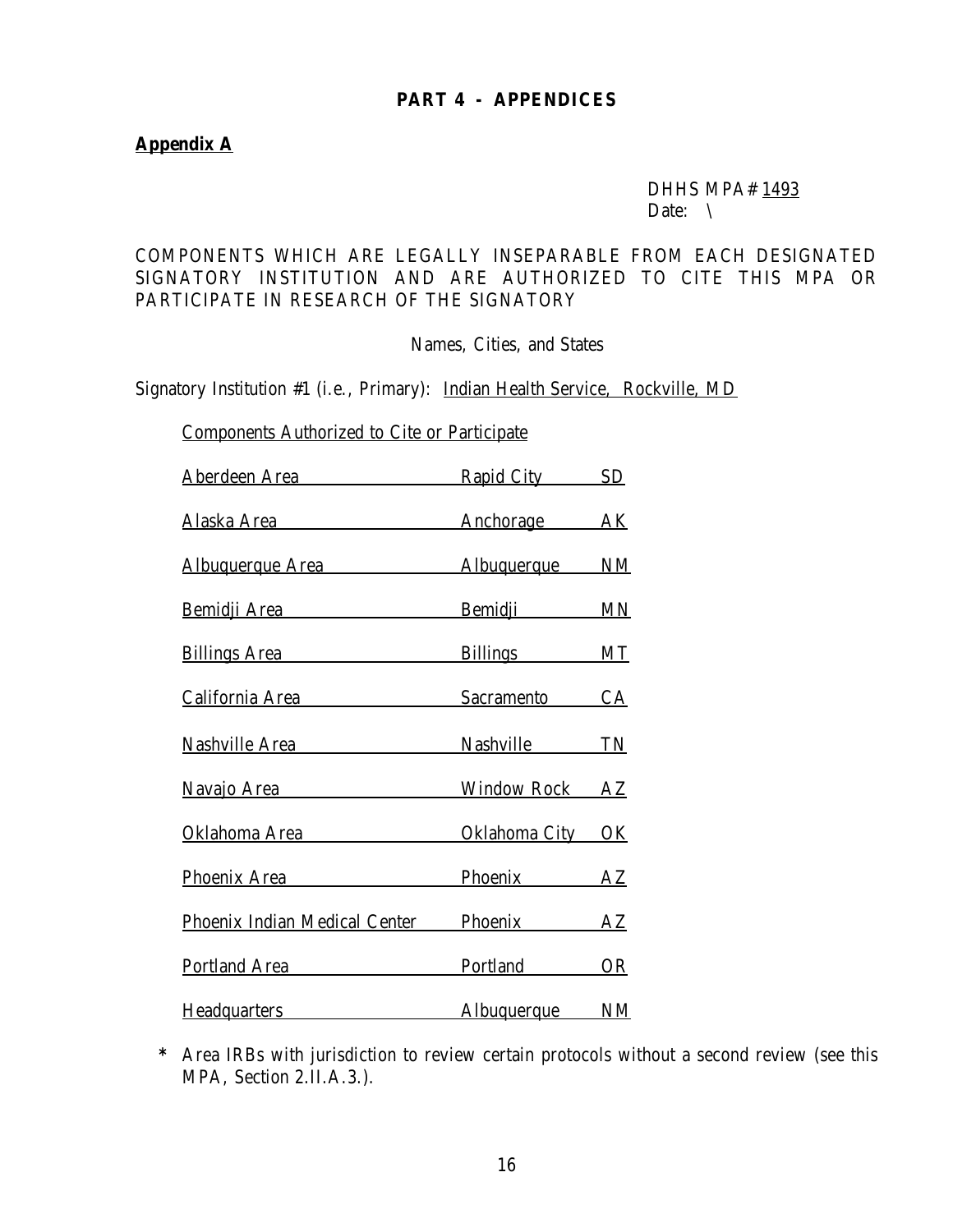#### **PART 4 - APPENDICES**

#### **Appendix A**

#### DHHS MPA# 1493 Date:  $\setminus$

#### COMPONENTS WHICH ARE LEGALLY INSEPARABLE FROM EACH DESIGNATED SIGNATORY INSTITUTION AND ARE AUTHORIZED TO CITE THIS MPA OR PARTICIPATE IN RESEARCH OF THE SIGNATORY

Names, Cities, and States

Signatory Institution #1 (i.e., Primary): Indian Health Service, Rockville, MD

Components Authorized to Cite or Participate

| <u>Aberdeen Area zuwerdzielt zu zuwerden Area</u> | Rapid City SD  |  |
|---------------------------------------------------|----------------|--|
| Alaska Area Machorage AK                          |                |  |
| Albuquerque Area Maria Albuquerque MM             |                |  |
| Bemidji Area Bemidji MN                           |                |  |
| Billings Area Billings MT                         |                |  |
| California Area Sacramento CA                     |                |  |
| Nashville Area Nashville TN                       |                |  |
| Navajo Area                                       | Window Rock AZ |  |
| Oklahoma Area City OK                             |                |  |
| Phoenix Area                                      | Phoenix AZ     |  |
| Phoenix Indian Medical Center Phoenix AZ          |                |  |
| Portland Area <b>Portland</b> OR                  |                |  |
| Headquarters <b>Exercise 2018</b>                 | Albuquerque NM |  |

**\*** Area IRBs with jurisdiction to review certain protocols without a second review (see this MPA, Section 2.II.A.3.).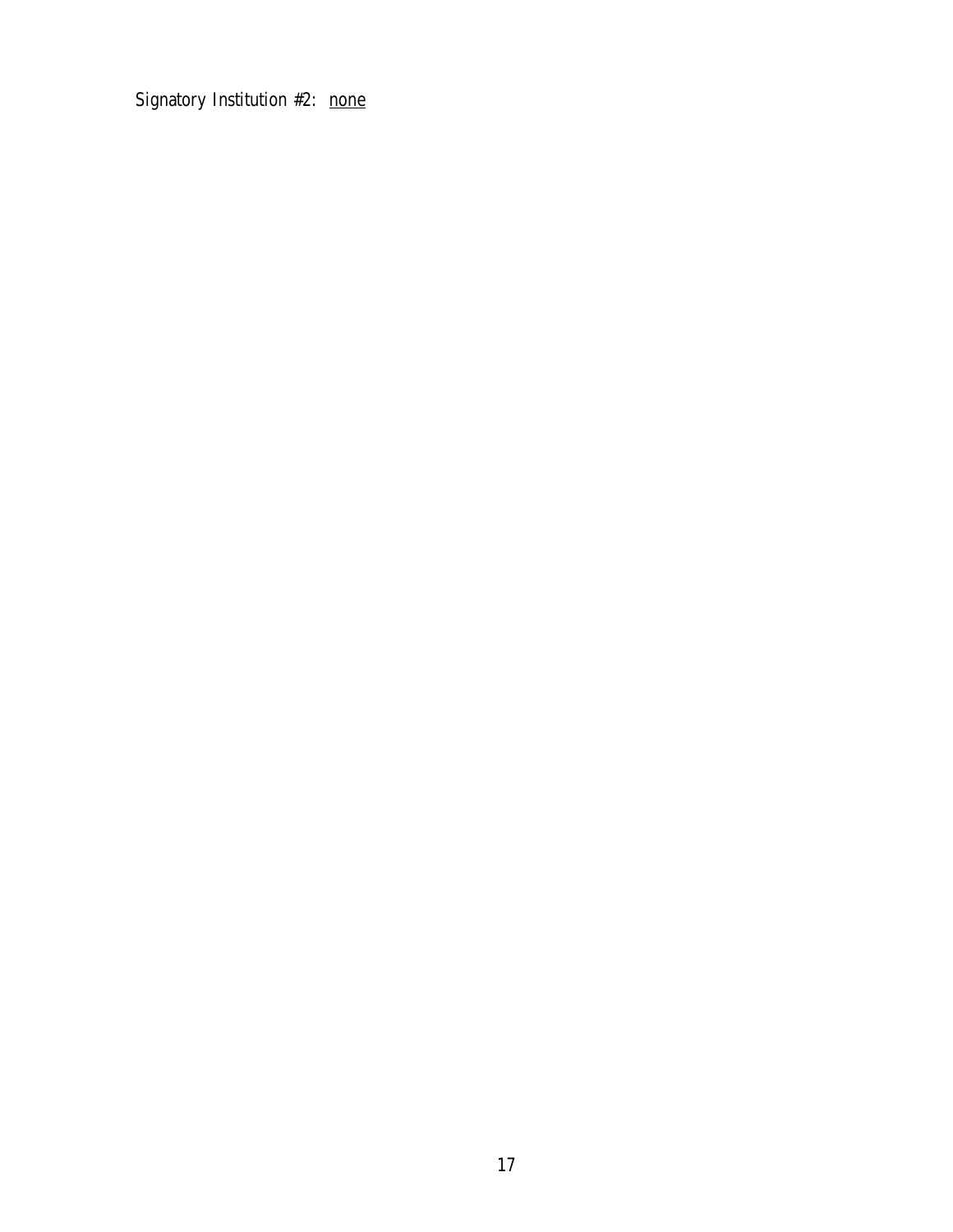Signatory Institution #2: none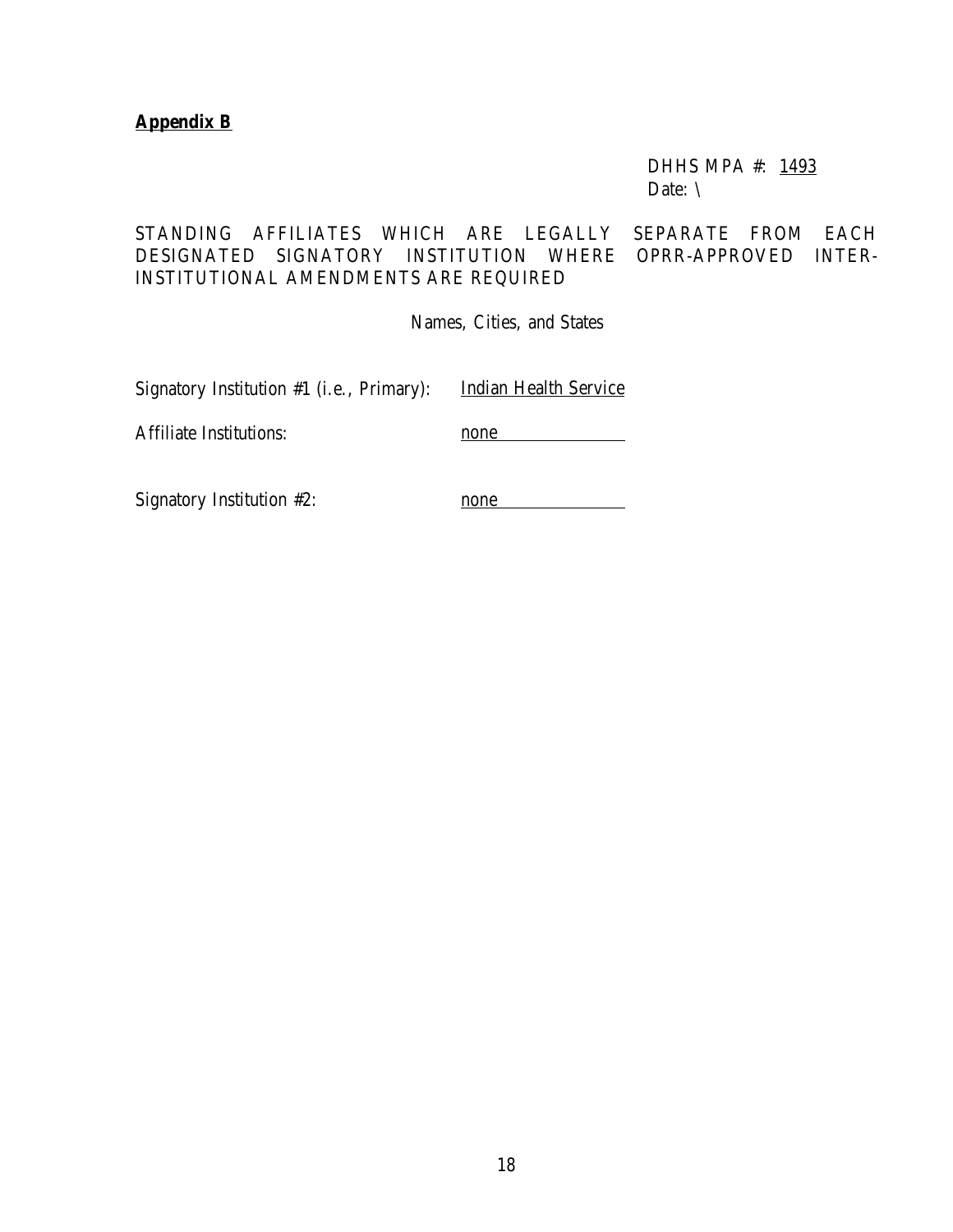#### **Appendix B**

DHHS MPA #: 1493 Date: \

STANDING AFFILIATES WHICH ARE LEGALLY SEPARATE FROM EACH DESIGNATED SIGNATORY INSTITUTION WHERE OPRR-APPROVED INTER-INSTITUTIONAL AMENDMENTS ARE REQUIRED

Names, Cities, and States

Signatory Institution #1 (i.e., Primary): Indian Health Service

Affiliate Institutions: none

Signatory Institution #2: none none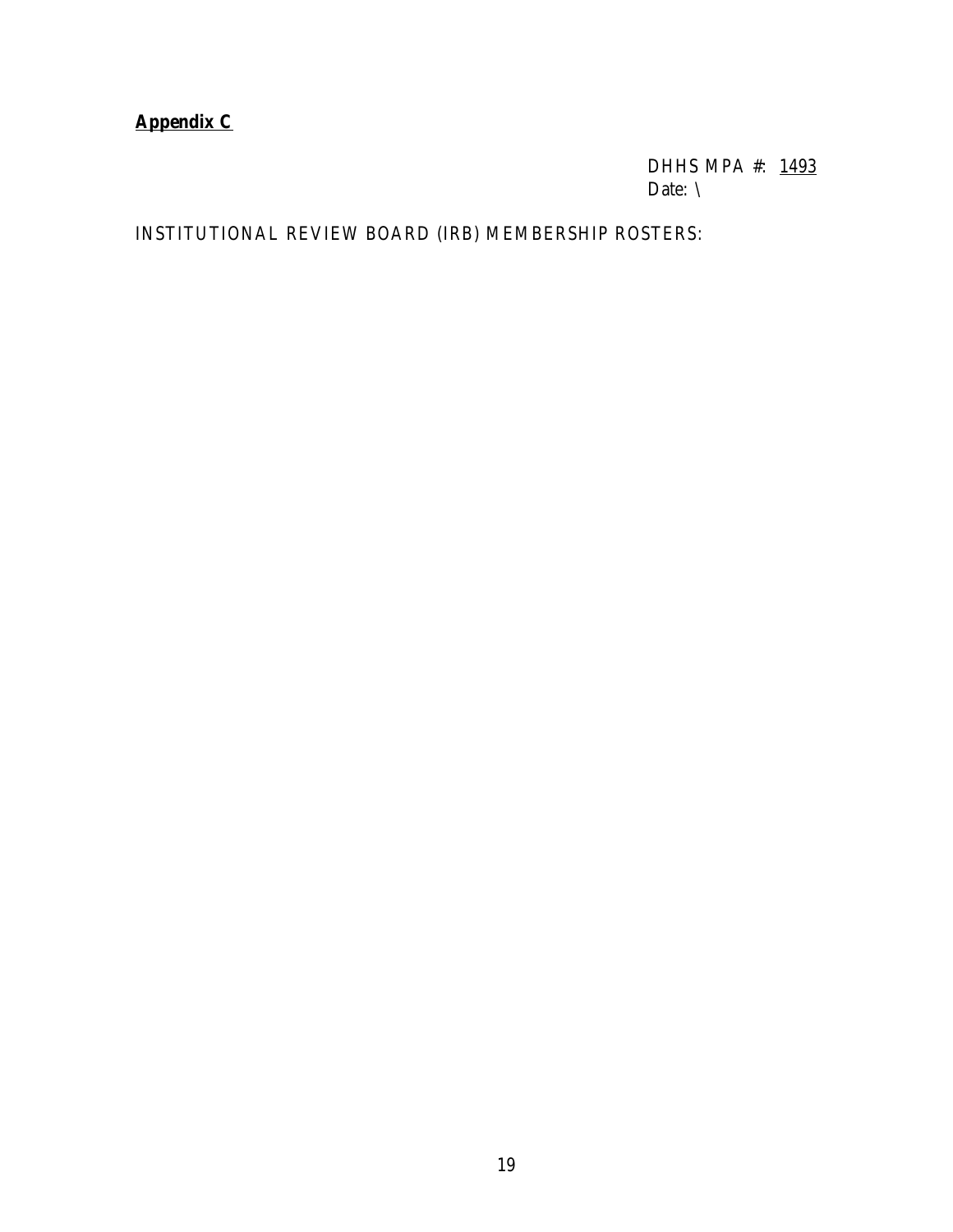### <span id="page-22-0"></span>**Appendix C**

DHHS MPA #: 1493 Date: \

INSTITUTIONAL REVIEW BOARD (IRB) MEMBERSHIP ROSTERS: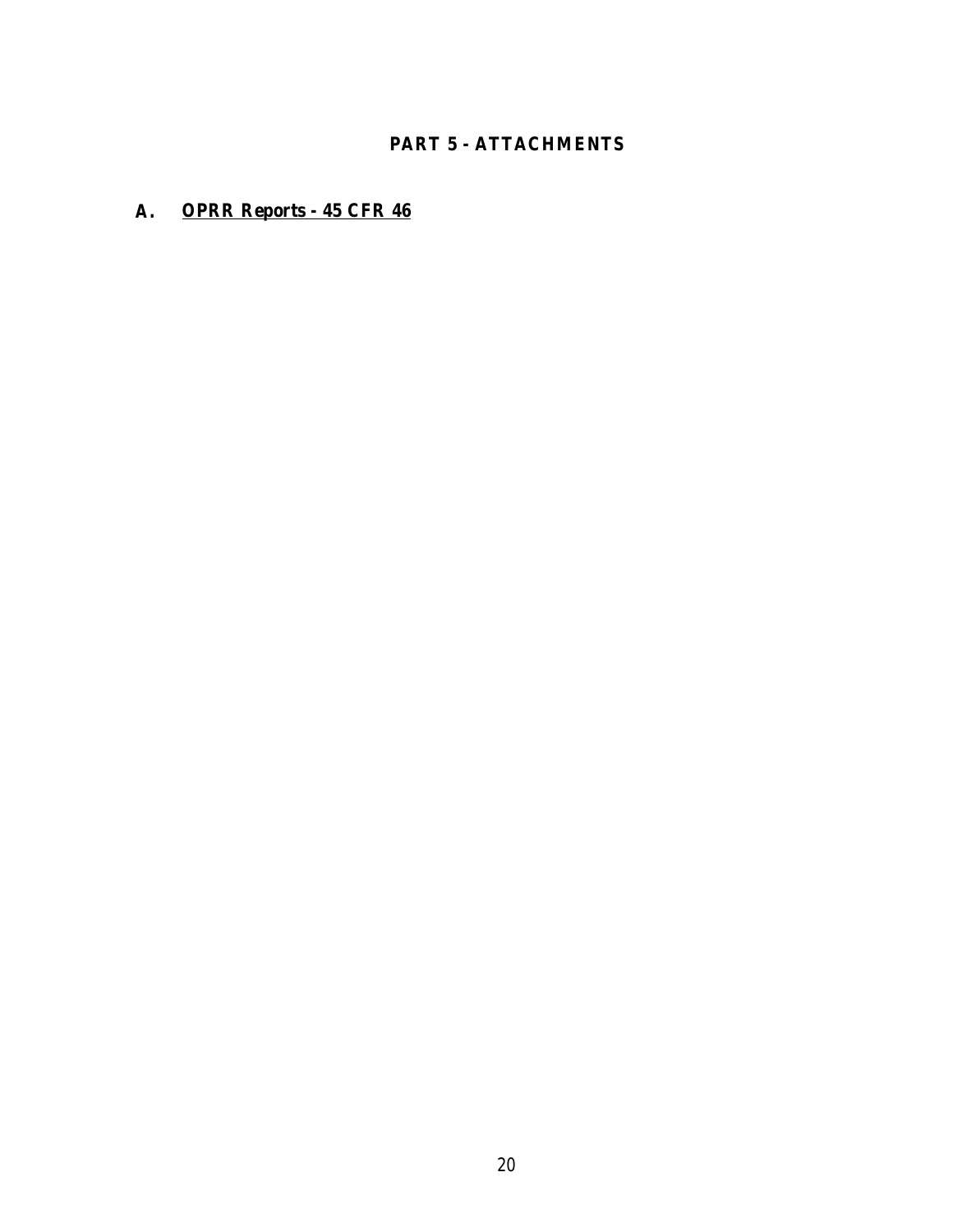### **PART 5 - ATTACHMENTS**

#### <span id="page-23-0"></span>**A. OPRR Reports - 45 CFR 46**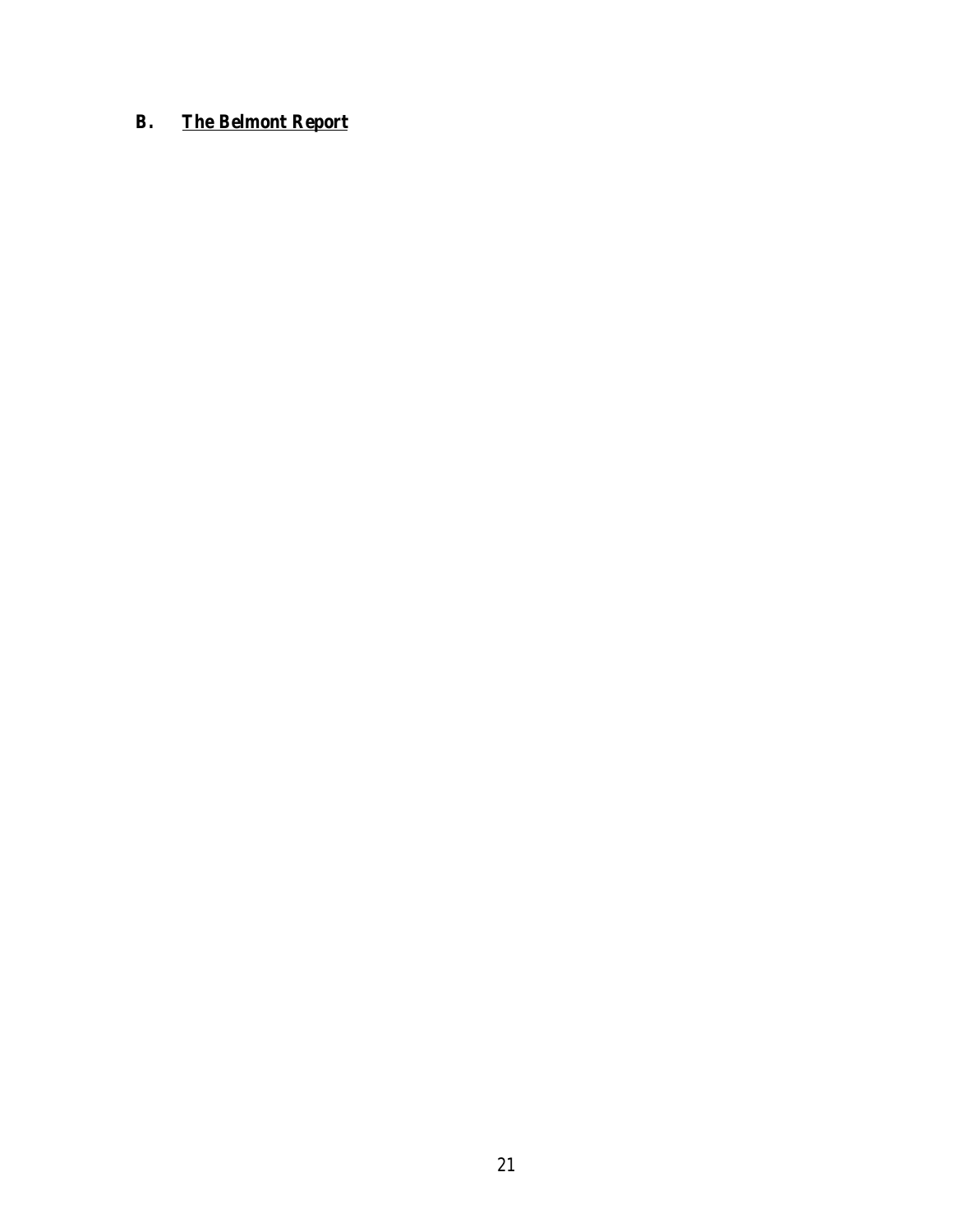### **B. The Belmont Report**